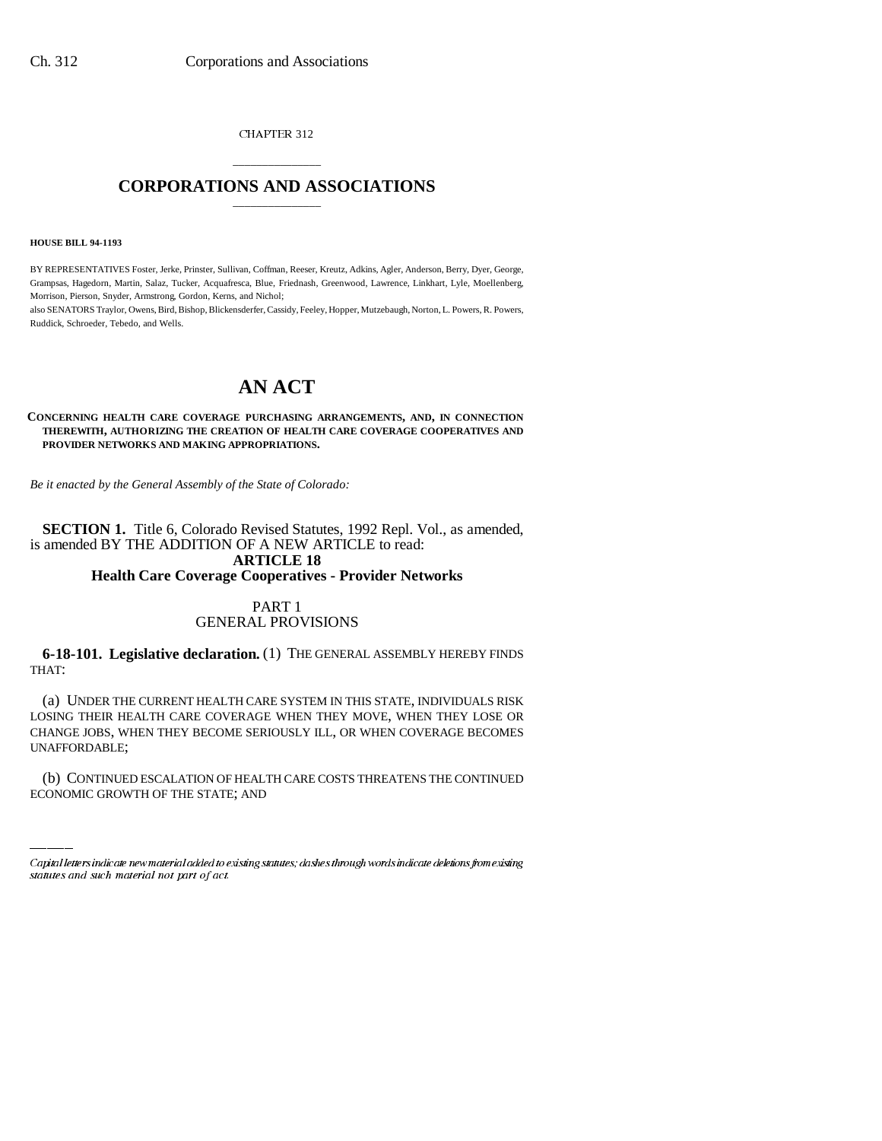CHAPTER 312

# \_\_\_\_\_\_\_\_\_\_\_\_\_\_\_ **CORPORATIONS AND ASSOCIATIONS** \_\_\_\_\_\_\_\_\_\_\_\_\_\_\_

**HOUSE BILL 94-1193**

BY REPRESENTATIVES Foster, Jerke, Prinster, Sullivan, Coffman, Reeser, Kreutz, Adkins, Agler, Anderson, Berry, Dyer, George, Grampsas, Hagedorn, Martin, Salaz, Tucker, Acquafresca, Blue, Friednash, Greenwood, Lawrence, Linkhart, Lyle, Moellenberg, Morrison, Pierson, Snyder, Armstrong, Gordon, Kerns, and Nichol;

also SENATORS Traylor, Owens, Bird, Bishop, Blickensderfer, Cassidy, Feeley, Hopper, Mutzebaugh, Norton, L. Powers, R. Powers, Ruddick, Schroeder, Tebedo, and Wells.

# **AN ACT**

#### **CONCERNING HEALTH CARE COVERAGE PURCHASING ARRANGEMENTS, AND, IN CONNECTION THEREWITH, AUTHORIZING THE CREATION OF HEALTH CARE COVERAGE COOPERATIVES AND PROVIDER NETWORKS AND MAKING APPROPRIATIONS.**

*Be it enacted by the General Assembly of the State of Colorado:*

**SECTION 1.** Title 6, Colorado Revised Statutes, 1992 Repl. Vol., as amended, is amended BY THE ADDITION OF A NEW ARTICLE to read: **ARTICLE 18 Health Care Coverage Cooperatives - Provider Networks**

# PART 1 GENERAL PROVISIONS

**6-18-101. Legislative declaration.** (1) THE GENERAL ASSEMBLY HEREBY FINDS THAT:

UNAFFORDABLE; (a) UNDER THE CURRENT HEALTH CARE SYSTEM IN THIS STATE, INDIVIDUALS RISK LOSING THEIR HEALTH CARE COVERAGE WHEN THEY MOVE, WHEN THEY LOSE OR CHANGE JOBS, WHEN THEY BECOME SERIOUSLY ILL, OR WHEN COVERAGE BECOMES

(b) CONTINUED ESCALATION OF HEALTH CARE COSTS THREATENS THE CONTINUED ECONOMIC GROWTH OF THE STATE; AND

Capital letters indicate new material added to existing statutes; dashes through words indicate deletions from existing statutes and such material not part of act.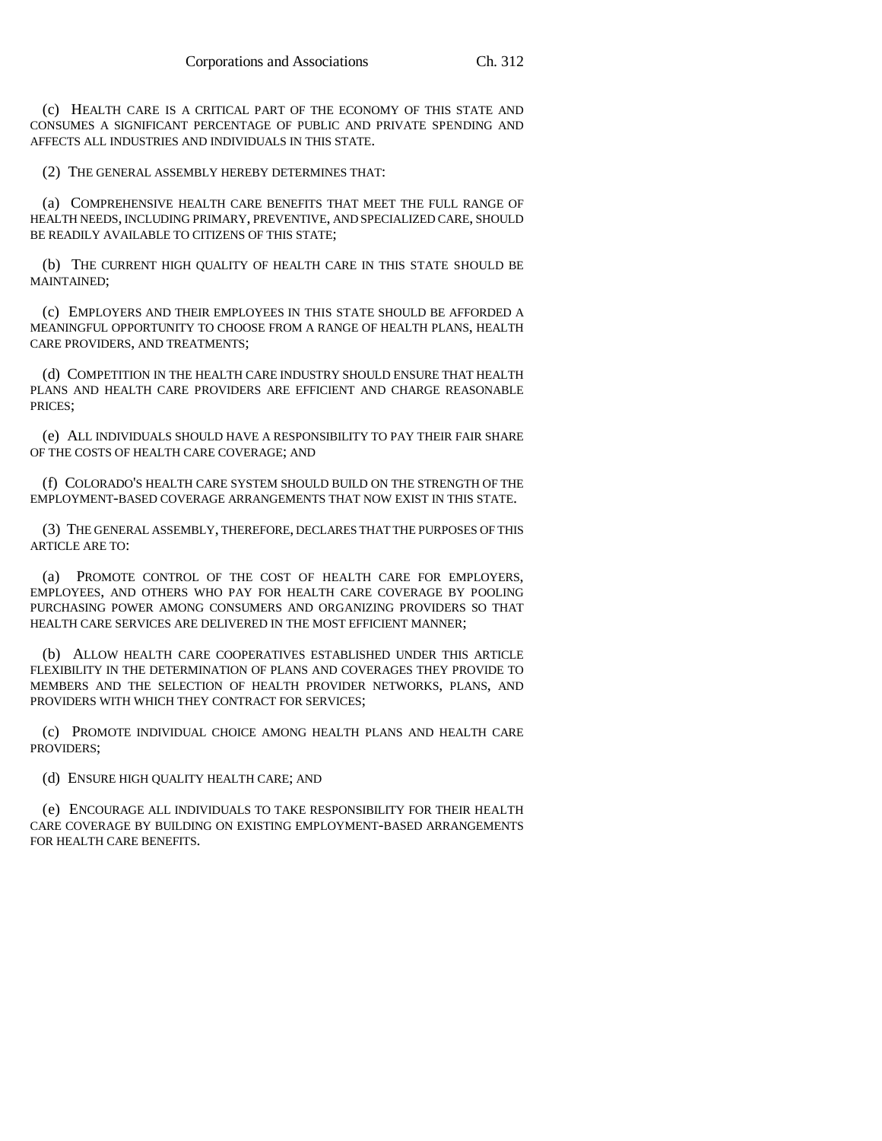(c) HEALTH CARE IS A CRITICAL PART OF THE ECONOMY OF THIS STATE AND CONSUMES A SIGNIFICANT PERCENTAGE OF PUBLIC AND PRIVATE SPENDING AND AFFECTS ALL INDUSTRIES AND INDIVIDUALS IN THIS STATE.

(2) THE GENERAL ASSEMBLY HEREBY DETERMINES THAT:

(a) COMPREHENSIVE HEALTH CARE BENEFITS THAT MEET THE FULL RANGE OF HEALTH NEEDS, INCLUDING PRIMARY, PREVENTIVE, AND SPECIALIZED CARE, SHOULD BE READILY AVAILABLE TO CITIZENS OF THIS STATE;

(b) THE CURRENT HIGH QUALITY OF HEALTH CARE IN THIS STATE SHOULD BE MAINTAINED;

(c) EMPLOYERS AND THEIR EMPLOYEES IN THIS STATE SHOULD BE AFFORDED A MEANINGFUL OPPORTUNITY TO CHOOSE FROM A RANGE OF HEALTH PLANS, HEALTH CARE PROVIDERS, AND TREATMENTS;

(d) COMPETITION IN THE HEALTH CARE INDUSTRY SHOULD ENSURE THAT HEALTH PLANS AND HEALTH CARE PROVIDERS ARE EFFICIENT AND CHARGE REASONABLE PRICES;

(e) ALL INDIVIDUALS SHOULD HAVE A RESPONSIBILITY TO PAY THEIR FAIR SHARE OF THE COSTS OF HEALTH CARE COVERAGE; AND

(f) COLORADO'S HEALTH CARE SYSTEM SHOULD BUILD ON THE STRENGTH OF THE EMPLOYMENT-BASED COVERAGE ARRANGEMENTS THAT NOW EXIST IN THIS STATE.

(3) THE GENERAL ASSEMBLY, THEREFORE, DECLARES THAT THE PURPOSES OF THIS ARTICLE ARE TO:

(a) PROMOTE CONTROL OF THE COST OF HEALTH CARE FOR EMPLOYERS, EMPLOYEES, AND OTHERS WHO PAY FOR HEALTH CARE COVERAGE BY POOLING PURCHASING POWER AMONG CONSUMERS AND ORGANIZING PROVIDERS SO THAT HEALTH CARE SERVICES ARE DELIVERED IN THE MOST EFFICIENT MANNER;

(b) ALLOW HEALTH CARE COOPERATIVES ESTABLISHED UNDER THIS ARTICLE FLEXIBILITY IN THE DETERMINATION OF PLANS AND COVERAGES THEY PROVIDE TO MEMBERS AND THE SELECTION OF HEALTH PROVIDER NETWORKS, PLANS, AND PROVIDERS WITH WHICH THEY CONTRACT FOR SERVICES;

(c) PROMOTE INDIVIDUAL CHOICE AMONG HEALTH PLANS AND HEALTH CARE PROVIDERS;

(d) ENSURE HIGH QUALITY HEALTH CARE; AND

(e) ENCOURAGE ALL INDIVIDUALS TO TAKE RESPONSIBILITY FOR THEIR HEALTH CARE COVERAGE BY BUILDING ON EXISTING EMPLOYMENT-BASED ARRANGEMENTS FOR HEALTH CARE BENEFITS.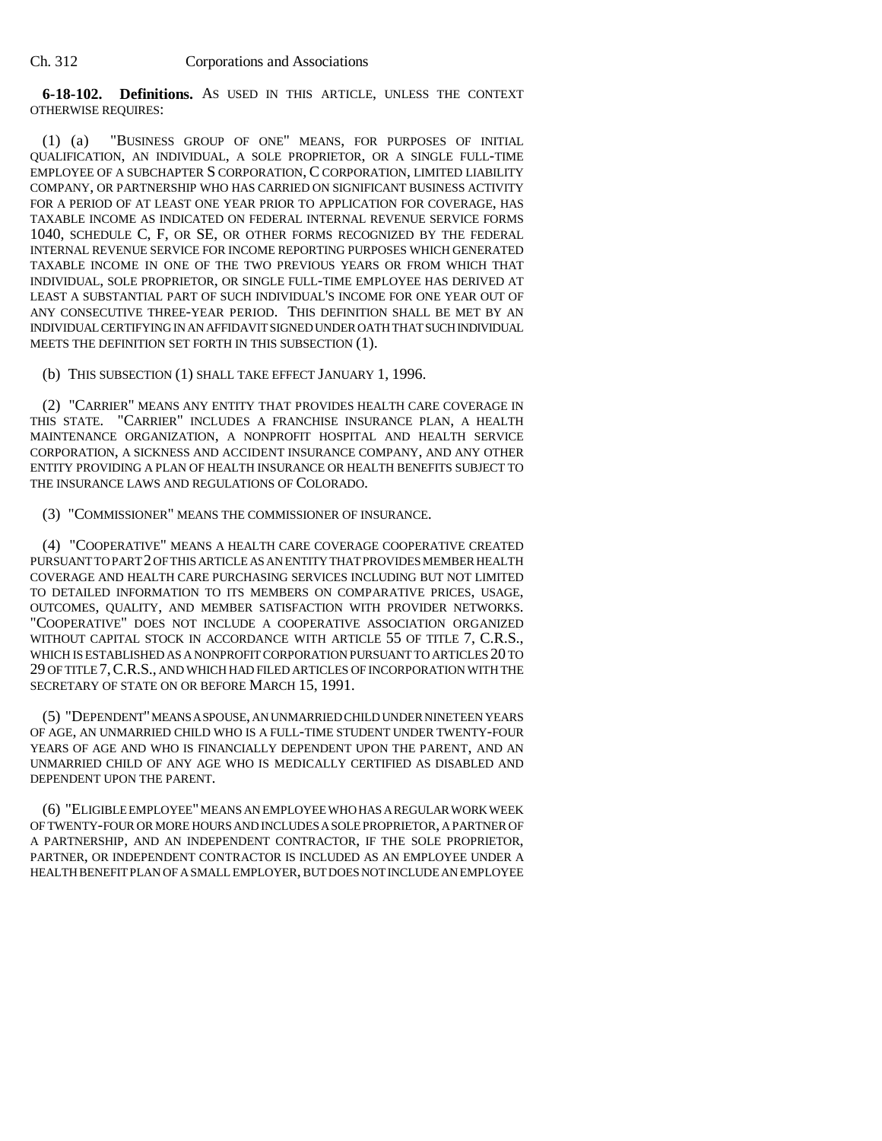**6-18-102. Definitions.** AS USED IN THIS ARTICLE, UNLESS THE CONTEXT OTHERWISE REQUIRES:

(1) (a) "BUSINESS GROUP OF ONE" MEANS, FOR PURPOSES OF INITIAL QUALIFICATION, AN INDIVIDUAL, A SOLE PROPRIETOR, OR A SINGLE FULL-TIME EMPLOYEE OF A SUBCHAPTER S CORPORATION, C CORPORATION, LIMITED LIABILITY COMPANY, OR PARTNERSHIP WHO HAS CARRIED ON SIGNIFICANT BUSINESS ACTIVITY FOR A PERIOD OF AT LEAST ONE YEAR PRIOR TO APPLICATION FOR COVERAGE, HAS TAXABLE INCOME AS INDICATED ON FEDERAL INTERNAL REVENUE SERVICE FORMS 1040, SCHEDULE C, F, OR SE, OR OTHER FORMS RECOGNIZED BY THE FEDERAL INTERNAL REVENUE SERVICE FOR INCOME REPORTING PURPOSES WHICH GENERATED TAXABLE INCOME IN ONE OF THE TWO PREVIOUS YEARS OR FROM WHICH THAT INDIVIDUAL, SOLE PROPRIETOR, OR SINGLE FULL-TIME EMPLOYEE HAS DERIVED AT LEAST A SUBSTANTIAL PART OF SUCH INDIVIDUAL'S INCOME FOR ONE YEAR OUT OF ANY CONSECUTIVE THREE-YEAR PERIOD. THIS DEFINITION SHALL BE MET BY AN INDIVIDUAL CERTIFYING IN AN AFFIDAVIT SIGNED UNDER OATH THAT SUCH INDIVIDUAL MEETS THE DEFINITION SET FORTH IN THIS SUBSECTION (1).

(b) THIS SUBSECTION (1) SHALL TAKE EFFECT JANUARY 1, 1996.

(2) "CARRIER" MEANS ANY ENTITY THAT PROVIDES HEALTH CARE COVERAGE IN THIS STATE. "CARRIER" INCLUDES A FRANCHISE INSURANCE PLAN, A HEALTH MAINTENANCE ORGANIZATION, A NONPROFIT HOSPITAL AND HEALTH SERVICE CORPORATION, A SICKNESS AND ACCIDENT INSURANCE COMPANY, AND ANY OTHER ENTITY PROVIDING A PLAN OF HEALTH INSURANCE OR HEALTH BENEFITS SUBJECT TO THE INSURANCE LAWS AND REGULATIONS OF COLORADO.

(3) "COMMISSIONER" MEANS THE COMMISSIONER OF INSURANCE.

(4) "COOPERATIVE" MEANS A HEALTH CARE COVERAGE COOPERATIVE CREATED PURSUANT TO PART 2 OF THIS ARTICLE AS AN ENTITY THAT PROVIDES MEMBER HEALTH COVERAGE AND HEALTH CARE PURCHASING SERVICES INCLUDING BUT NOT LIMITED TO DETAILED INFORMATION TO ITS MEMBERS ON COMPARATIVE PRICES, USAGE, OUTCOMES, QUALITY, AND MEMBER SATISFACTION WITH PROVIDER NETWORKS. "COOPERATIVE" DOES NOT INCLUDE A COOPERATIVE ASSOCIATION ORGANIZED WITHOUT CAPITAL STOCK IN ACCORDANCE WITH ARTICLE 55 OF TITLE 7, C.R.S., WHICH IS ESTABLISHED AS A NONPROFIT CORPORATION PURSUANT TO ARTICLES 20 TO 29 OF TITLE 7,C.R.S., AND WHICH HAD FILED ARTICLES OF INCORPORATION WITH THE SECRETARY OF STATE ON OR BEFORE MARCH 15, 1991.

(5) "DEPENDENT" MEANS A SPOUSE, AN UNMARRIED CHILD UNDER NINETEEN YEARS OF AGE, AN UNMARRIED CHILD WHO IS A FULL-TIME STUDENT UNDER TWENTY-FOUR YEARS OF AGE AND WHO IS FINANCIALLY DEPENDENT UPON THE PARENT, AND AN UNMARRIED CHILD OF ANY AGE WHO IS MEDICALLY CERTIFIED AS DISABLED AND DEPENDENT UPON THE PARENT.

(6) "ELIGIBLE EMPLOYEE" MEANS AN EMPLOYEE WHO HAS A REGULAR WORK WEEK OF TWENTY-FOUR OR MORE HOURS AND INCLUDES A SOLE PROPRIETOR, A PARTNER OF A PARTNERSHIP, AND AN INDEPENDENT CONTRACTOR, IF THE SOLE PROPRIETOR, PARTNER, OR INDEPENDENT CONTRACTOR IS INCLUDED AS AN EMPLOYEE UNDER A HEALTH BENEFIT PLAN OF A SMALL EMPLOYER, BUT DOES NOT INCLUDE AN EMPLOYEE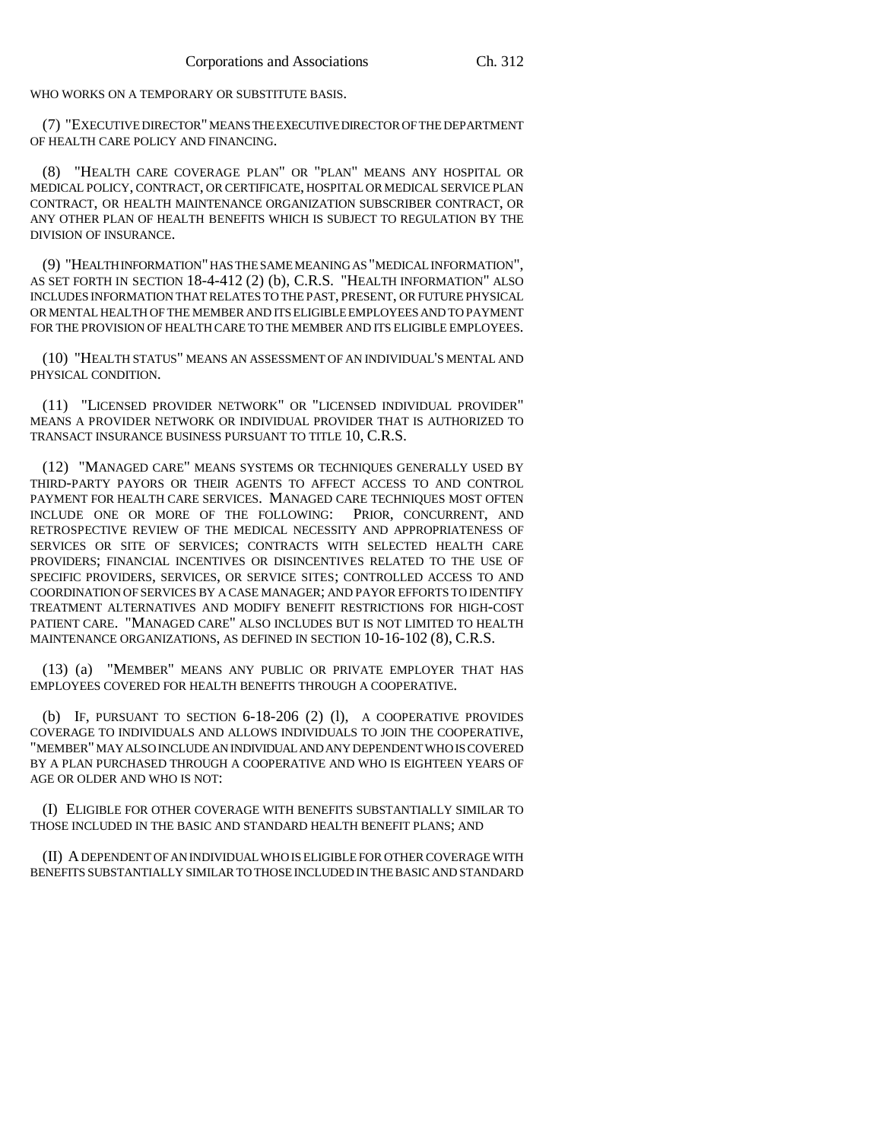WHO WORKS ON A TEMPORARY OR SUBSTITUTE BASIS.

(7) "EXECUTIVE DIRECTOR" MEANS THE EXECUTIVE DIRECTOR OF THE DEPARTMENT OF HEALTH CARE POLICY AND FINANCING.

(8) "HEALTH CARE COVERAGE PLAN" OR "PLAN" MEANS ANY HOSPITAL OR MEDICAL POLICY, CONTRACT, OR CERTIFICATE, HOSPITAL OR MEDICAL SERVICE PLAN CONTRACT, OR HEALTH MAINTENANCE ORGANIZATION SUBSCRIBER CONTRACT, OR ANY OTHER PLAN OF HEALTH BENEFITS WHICH IS SUBJECT TO REGULATION BY THE DIVISION OF INSURANCE.

(9) "HEALTH INFORMATION" HAS THE SAME MEANING AS "MEDICAL INFORMATION", AS SET FORTH IN SECTION 18-4-412 (2) (b), C.R.S. "HEALTH INFORMATION" ALSO INCLUDES INFORMATION THAT RELATES TO THE PAST, PRESENT, OR FUTURE PHYSICAL OR MENTAL HEALTH OF THE MEMBER AND ITS ELIGIBLE EMPLOYEES AND TO PAYMENT FOR THE PROVISION OF HEALTH CARE TO THE MEMBER AND ITS ELIGIBLE EMPLOYEES.

(10) "HEALTH STATUS" MEANS AN ASSESSMENT OF AN INDIVIDUAL'S MENTAL AND PHYSICAL CONDITION.

(11) "LICENSED PROVIDER NETWORK" OR "LICENSED INDIVIDUAL PROVIDER" MEANS A PROVIDER NETWORK OR INDIVIDUAL PROVIDER THAT IS AUTHORIZED TO TRANSACT INSURANCE BUSINESS PURSUANT TO TITLE 10, C.R.S.

(12) "MANAGED CARE" MEANS SYSTEMS OR TECHNIQUES GENERALLY USED BY THIRD-PARTY PAYORS OR THEIR AGENTS TO AFFECT ACCESS TO AND CONTROL PAYMENT FOR HEALTH CARE SERVICES. MANAGED CARE TECHNIQUES MOST OFTEN INCLUDE ONE OR MORE OF THE FOLLOWING: PRIOR, CONCURRENT, AND RETROSPECTIVE REVIEW OF THE MEDICAL NECESSITY AND APPROPRIATENESS OF SERVICES OR SITE OF SERVICES; CONTRACTS WITH SELECTED HEALTH CARE PROVIDERS; FINANCIAL INCENTIVES OR DISINCENTIVES RELATED TO THE USE OF SPECIFIC PROVIDERS, SERVICES, OR SERVICE SITES; CONTROLLED ACCESS TO AND COORDINATION OF SERVICES BY A CASE MANAGER; AND PAYOR EFFORTS TO IDENTIFY TREATMENT ALTERNATIVES AND MODIFY BENEFIT RESTRICTIONS FOR HIGH-COST PATIENT CARE. "MANAGED CARE" ALSO INCLUDES BUT IS NOT LIMITED TO HEALTH MAINTENANCE ORGANIZATIONS, AS DEFINED IN SECTION 10-16-102 (8), C.R.S.

(13) (a) "MEMBER" MEANS ANY PUBLIC OR PRIVATE EMPLOYER THAT HAS EMPLOYEES COVERED FOR HEALTH BENEFITS THROUGH A COOPERATIVE.

(b) IF, PURSUANT TO SECTION 6-18-206 (2) (l), A COOPERATIVE PROVIDES COVERAGE TO INDIVIDUALS AND ALLOWS INDIVIDUALS TO JOIN THE COOPERATIVE, "MEMBER" MAY ALSO INCLUDE AN INDIVIDUAL AND ANY DEPENDENT WHO IS COVERED BY A PLAN PURCHASED THROUGH A COOPERATIVE AND WHO IS EIGHTEEN YEARS OF AGE OR OLDER AND WHO IS NOT:

(I) ELIGIBLE FOR OTHER COVERAGE WITH BENEFITS SUBSTANTIALLY SIMILAR TO THOSE INCLUDED IN THE BASIC AND STANDARD HEALTH BENEFIT PLANS; AND

(II) A DEPENDENT OF AN INDIVIDUAL WHO IS ELIGIBLE FOR OTHER COVERAGE WITH BENEFITS SUBSTANTIALLY SIMILAR TO THOSE INCLUDED IN THE BASIC AND STANDARD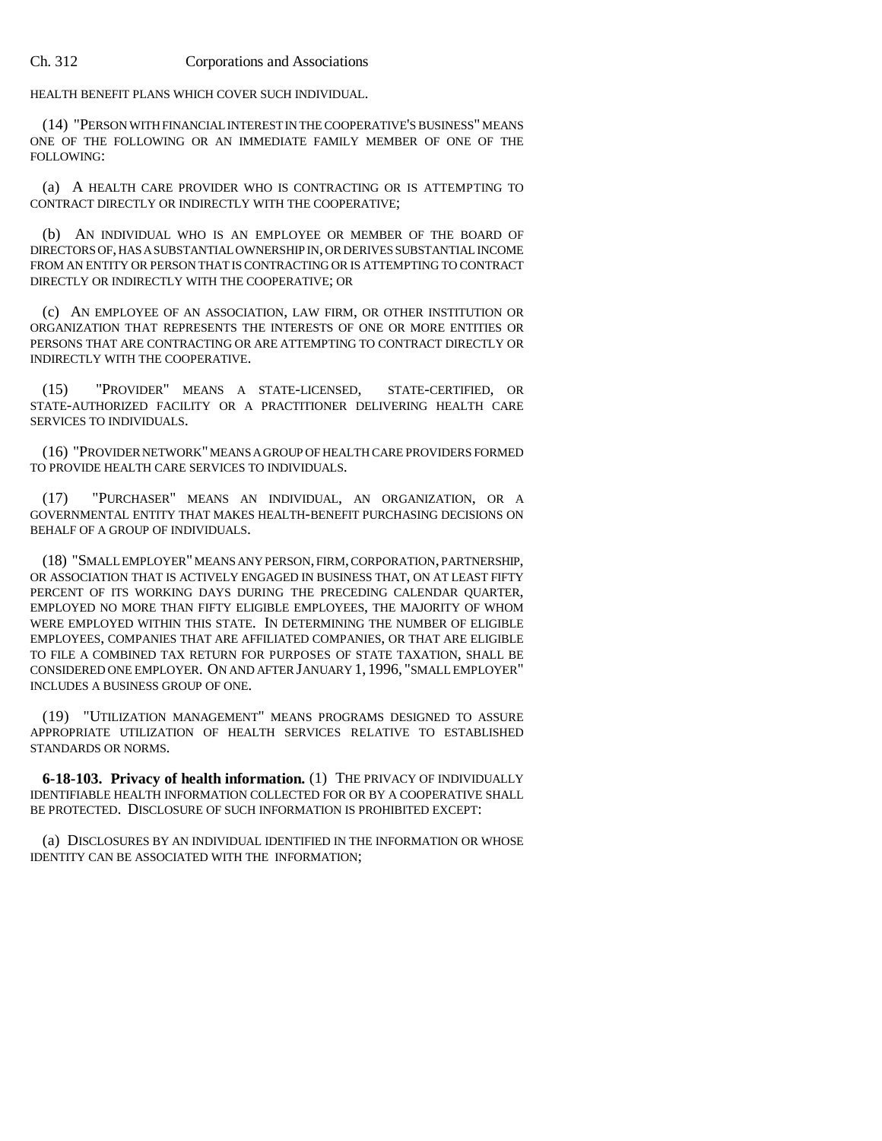HEALTH BENEFIT PLANS WHICH COVER SUCH INDIVIDUAL.

(14) "PERSON WITH FINANCIAL INTEREST IN THE COOPERATIVE'S BUSINESS" MEANS ONE OF THE FOLLOWING OR AN IMMEDIATE FAMILY MEMBER OF ONE OF THE FOLLOWING:

(a) A HEALTH CARE PROVIDER WHO IS CONTRACTING OR IS ATTEMPTING TO CONTRACT DIRECTLY OR INDIRECTLY WITH THE COOPERATIVE;

(b) AN INDIVIDUAL WHO IS AN EMPLOYEE OR MEMBER OF THE BOARD OF DIRECTORS OF, HAS A SUBSTANTIAL OWNERSHIP IN, OR DERIVES SUBSTANTIAL INCOME FROM AN ENTITY OR PERSON THAT IS CONTRACTING OR IS ATTEMPTING TO CONTRACT DIRECTLY OR INDIRECTLY WITH THE COOPERATIVE; OR

(c) AN EMPLOYEE OF AN ASSOCIATION, LAW FIRM, OR OTHER INSTITUTION OR ORGANIZATION THAT REPRESENTS THE INTERESTS OF ONE OR MORE ENTITIES OR PERSONS THAT ARE CONTRACTING OR ARE ATTEMPTING TO CONTRACT DIRECTLY OR INDIRECTLY WITH THE COOPERATIVE.

(15) "PROVIDER" MEANS A STATE-LICENSED, STATE-CERTIFIED, OR STATE-AUTHORIZED FACILITY OR A PRACTITIONER DELIVERING HEALTH CARE SERVICES TO INDIVIDUALS.

(16) "PROVIDER NETWORK" MEANS A GROUP OF HEALTH CARE PROVIDERS FORMED TO PROVIDE HEALTH CARE SERVICES TO INDIVIDUALS.

(17) "PURCHASER" MEANS AN INDIVIDUAL, AN ORGANIZATION, OR A GOVERNMENTAL ENTITY THAT MAKES HEALTH-BENEFIT PURCHASING DECISIONS ON BEHALF OF A GROUP OF INDIVIDUALS.

(18) "SMALL EMPLOYER" MEANS ANY PERSON, FIRM, CORPORATION, PARTNERSHIP, OR ASSOCIATION THAT IS ACTIVELY ENGAGED IN BUSINESS THAT, ON AT LEAST FIFTY PERCENT OF ITS WORKING DAYS DURING THE PRECEDING CALENDAR OUARTER, EMPLOYED NO MORE THAN FIFTY ELIGIBLE EMPLOYEES, THE MAJORITY OF WHOM WERE EMPLOYED WITHIN THIS STATE. IN DETERMINING THE NUMBER OF ELIGIBLE EMPLOYEES, COMPANIES THAT ARE AFFILIATED COMPANIES, OR THAT ARE ELIGIBLE TO FILE A COMBINED TAX RETURN FOR PURPOSES OF STATE TAXATION, SHALL BE CONSIDERED ONE EMPLOYER. ON AND AFTER JANUARY 1, 1996, "SMALL EMPLOYER" INCLUDES A BUSINESS GROUP OF ONE.

(19) "UTILIZATION MANAGEMENT" MEANS PROGRAMS DESIGNED TO ASSURE APPROPRIATE UTILIZATION OF HEALTH SERVICES RELATIVE TO ESTABLISHED STANDARDS OR NORMS.

**6-18-103. Privacy of health information.** (1) THE PRIVACY OF INDIVIDUALLY IDENTIFIABLE HEALTH INFORMATION COLLECTED FOR OR BY A COOPERATIVE SHALL BE PROTECTED. DISCLOSURE OF SUCH INFORMATION IS PROHIBITED EXCEPT:

(a) DISCLOSURES BY AN INDIVIDUAL IDENTIFIED IN THE INFORMATION OR WHOSE IDENTITY CAN BE ASSOCIATED WITH THE INFORMATION;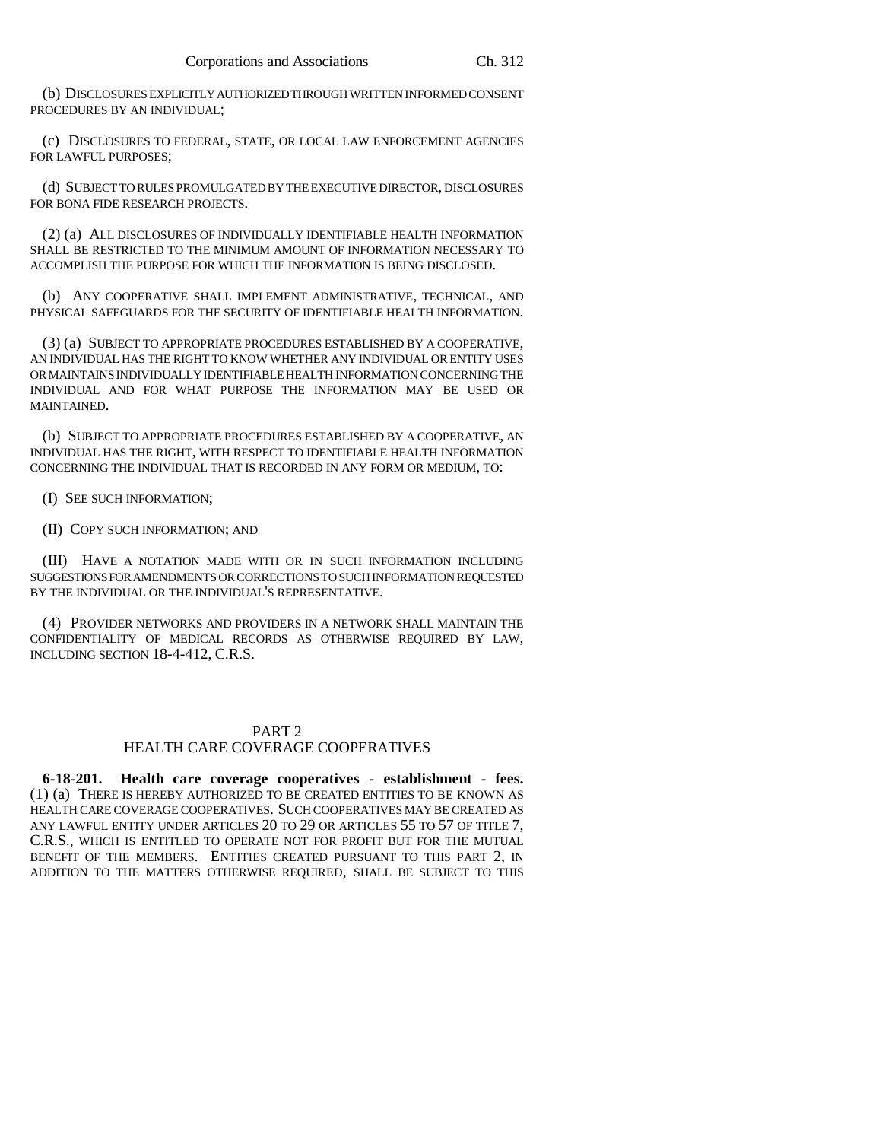(b) DISCLOSURES EXPLICITLY AUTHORIZED THROUGH WRITTEN INFORMED CONSENT PROCEDURES BY AN INDIVIDUAL;

(c) DISCLOSURES TO FEDERAL, STATE, OR LOCAL LAW ENFORCEMENT AGENCIES FOR LAWFUL PURPOSES;

(d) SUBJECT TO RULES PROMULGATED BY THE EXECUTIVE DIRECTOR, DISCLOSURES FOR BONA FIDE RESEARCH PROJECTS.

(2) (a) ALL DISCLOSURES OF INDIVIDUALLY IDENTIFIABLE HEALTH INFORMATION SHALL BE RESTRICTED TO THE MINIMUM AMOUNT OF INFORMATION NECESSARY TO ACCOMPLISH THE PURPOSE FOR WHICH THE INFORMATION IS BEING DISCLOSED.

(b) ANY COOPERATIVE SHALL IMPLEMENT ADMINISTRATIVE, TECHNICAL, AND PHYSICAL SAFEGUARDS FOR THE SECURITY OF IDENTIFIABLE HEALTH INFORMATION.

(3) (a) SUBJECT TO APPROPRIATE PROCEDURES ESTABLISHED BY A COOPERATIVE, AN INDIVIDUAL HAS THE RIGHT TO KNOW WHETHER ANY INDIVIDUAL OR ENTITY USES OR MAINTAINS INDIVIDUALLY IDENTIFIABLE HEALTH INFORMATION CONCERNING THE INDIVIDUAL AND FOR WHAT PURPOSE THE INFORMATION MAY BE USED OR MAINTAINED.

(b) SUBJECT TO APPROPRIATE PROCEDURES ESTABLISHED BY A COOPERATIVE, AN INDIVIDUAL HAS THE RIGHT, WITH RESPECT TO IDENTIFIABLE HEALTH INFORMATION CONCERNING THE INDIVIDUAL THAT IS RECORDED IN ANY FORM OR MEDIUM, TO:

(I) SEE SUCH INFORMATION;

(II) COPY SUCH INFORMATION; AND

(III) HAVE A NOTATION MADE WITH OR IN SUCH INFORMATION INCLUDING SUGGESTIONS FOR AMENDMENTS OR CORRECTIONS TO SUCH INFORMATION REQUESTED BY THE INDIVIDUAL OR THE INDIVIDUAL'S REPRESENTATIVE.

(4) PROVIDER NETWORKS AND PROVIDERS IN A NETWORK SHALL MAINTAIN THE CONFIDENTIALITY OF MEDICAL RECORDS AS OTHERWISE REQUIRED BY LAW, INCLUDING SECTION 18-4-412, C.R.S.

# PART<sub>2</sub>

# HEALTH CARE COVERAGE COOPERATIVES

**6-18-201. Health care coverage cooperatives - establishment - fees.** (1) (a) THERE IS HEREBY AUTHORIZED TO BE CREATED ENTITIES TO BE KNOWN AS HEALTH CARE COVERAGE COOPERATIVES. SUCH COOPERATIVES MAY BE CREATED AS ANY LAWFUL ENTITY UNDER ARTICLES 20 TO 29 OR ARTICLES 55 TO 57 OF TITLE 7, C.R.S., WHICH IS ENTITLED TO OPERATE NOT FOR PROFIT BUT FOR THE MUTUAL BENEFIT OF THE MEMBERS. ENTITIES CREATED PURSUANT TO THIS PART 2, IN ADDITION TO THE MATTERS OTHERWISE REQUIRED, SHALL BE SUBJECT TO THIS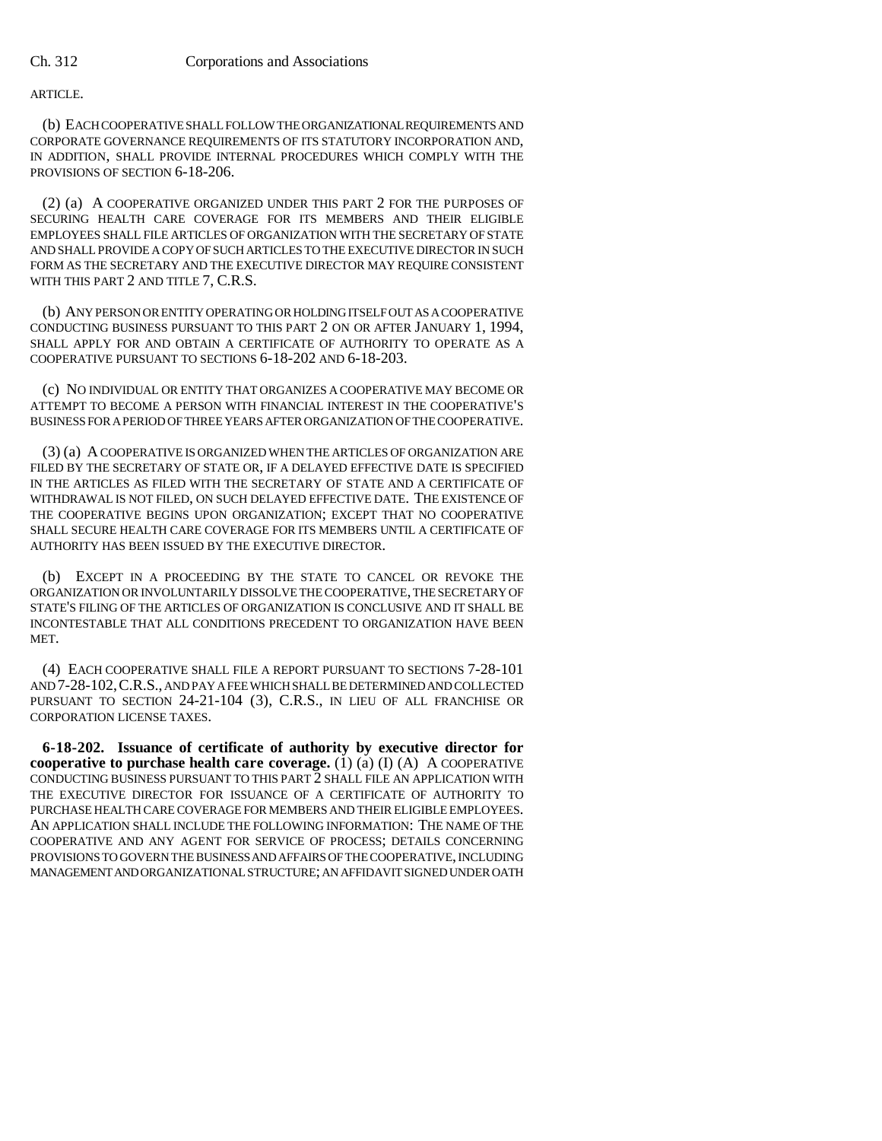ARTICLE.

(b) EACH COOPERATIVE SHALL FOLLOW THE ORGANIZATIONAL REQUIREMENTS AND CORPORATE GOVERNANCE REQUIREMENTS OF ITS STATUTORY INCORPORATION AND, IN ADDITION, SHALL PROVIDE INTERNAL PROCEDURES WHICH COMPLY WITH THE PROVISIONS OF SECTION 6-18-206.

(2) (a) A COOPERATIVE ORGANIZED UNDER THIS PART 2 FOR THE PURPOSES OF SECURING HEALTH CARE COVERAGE FOR ITS MEMBERS AND THEIR ELIGIBLE EMPLOYEES SHALL FILE ARTICLES OF ORGANIZATION WITH THE SECRETARY OF STATE AND SHALL PROVIDE A COPY OF SUCH ARTICLES TO THE EXECUTIVE DIRECTOR IN SUCH FORM AS THE SECRETARY AND THE EXECUTIVE DIRECTOR MAY REQUIRE CONSISTENT WITH THIS PART 2 AND TITLE 7, C.R.S.

(b) ANY PERSON OR ENTITY OPERATING OR HOLDING ITSELF OUT AS A COOPERATIVE CONDUCTING BUSINESS PURSUANT TO THIS PART 2 ON OR AFTER JANUARY 1, 1994, SHALL APPLY FOR AND OBTAIN A CERTIFICATE OF AUTHORITY TO OPERATE AS A COOPERATIVE PURSUANT TO SECTIONS 6-18-202 AND 6-18-203.

(c) NO INDIVIDUAL OR ENTITY THAT ORGANIZES A COOPERATIVE MAY BECOME OR ATTEMPT TO BECOME A PERSON WITH FINANCIAL INTEREST IN THE COOPERATIVE'S BUSINESS FOR A PERIOD OF THREE YEARS AFTER ORGANIZATION OF THE COOPERATIVE.

(3) (a) A COOPERATIVE IS ORGANIZED WHEN THE ARTICLES OF ORGANIZATION ARE FILED BY THE SECRETARY OF STATE OR, IF A DELAYED EFFECTIVE DATE IS SPECIFIED IN THE ARTICLES AS FILED WITH THE SECRETARY OF STATE AND A CERTIFICATE OF WITHDRAWAL IS NOT FILED, ON SUCH DELAYED EFFECTIVE DATE. THE EXISTENCE OF THE COOPERATIVE BEGINS UPON ORGANIZATION; EXCEPT THAT NO COOPERATIVE SHALL SECURE HEALTH CARE COVERAGE FOR ITS MEMBERS UNTIL A CERTIFICATE OF AUTHORITY HAS BEEN ISSUED BY THE EXECUTIVE DIRECTOR.

(b) EXCEPT IN A PROCEEDING BY THE STATE TO CANCEL OR REVOKE THE ORGANIZATION OR INVOLUNTARILY DISSOLVE THE COOPERATIVE, THE SECRETARY OF STATE'S FILING OF THE ARTICLES OF ORGANIZATION IS CONCLUSIVE AND IT SHALL BE INCONTESTABLE THAT ALL CONDITIONS PRECEDENT TO ORGANIZATION HAVE BEEN MET.

(4) EACH COOPERATIVE SHALL FILE A REPORT PURSUANT TO SECTIONS 7-28-101 AND 7-28-102,C.R.S., AND PAY A FEE WHICH SHALL BE DETERMINED AND COLLECTED PURSUANT TO SECTION 24-21-104 (3), C.R.S., IN LIEU OF ALL FRANCHISE OR CORPORATION LICENSE TAXES.

**6-18-202. Issuance of certificate of authority by executive director for cooperative to purchase health care coverage.** (1) (a) (I) (A) A COOPERATIVE CONDUCTING BUSINESS PURSUANT TO THIS PART 2 SHALL FILE AN APPLICATION WITH THE EXECUTIVE DIRECTOR FOR ISSUANCE OF A CERTIFICATE OF AUTHORITY TO PURCHASE HEALTH CARE COVERAGE FOR MEMBERS AND THEIR ELIGIBLE EMPLOYEES. AN APPLICATION SHALL INCLUDE THE FOLLOWING INFORMATION: THE NAME OF THE COOPERATIVE AND ANY AGENT FOR SERVICE OF PROCESS; DETAILS CONCERNING PROVISIONS TO GOVERN THE BUSINESS AND AFFAIRS OF THE COOPERATIVE, INCLUDING MANAGEMENT AND ORGANIZATIONAL STRUCTURE; AN AFFIDAVIT SIGNED UNDER OATH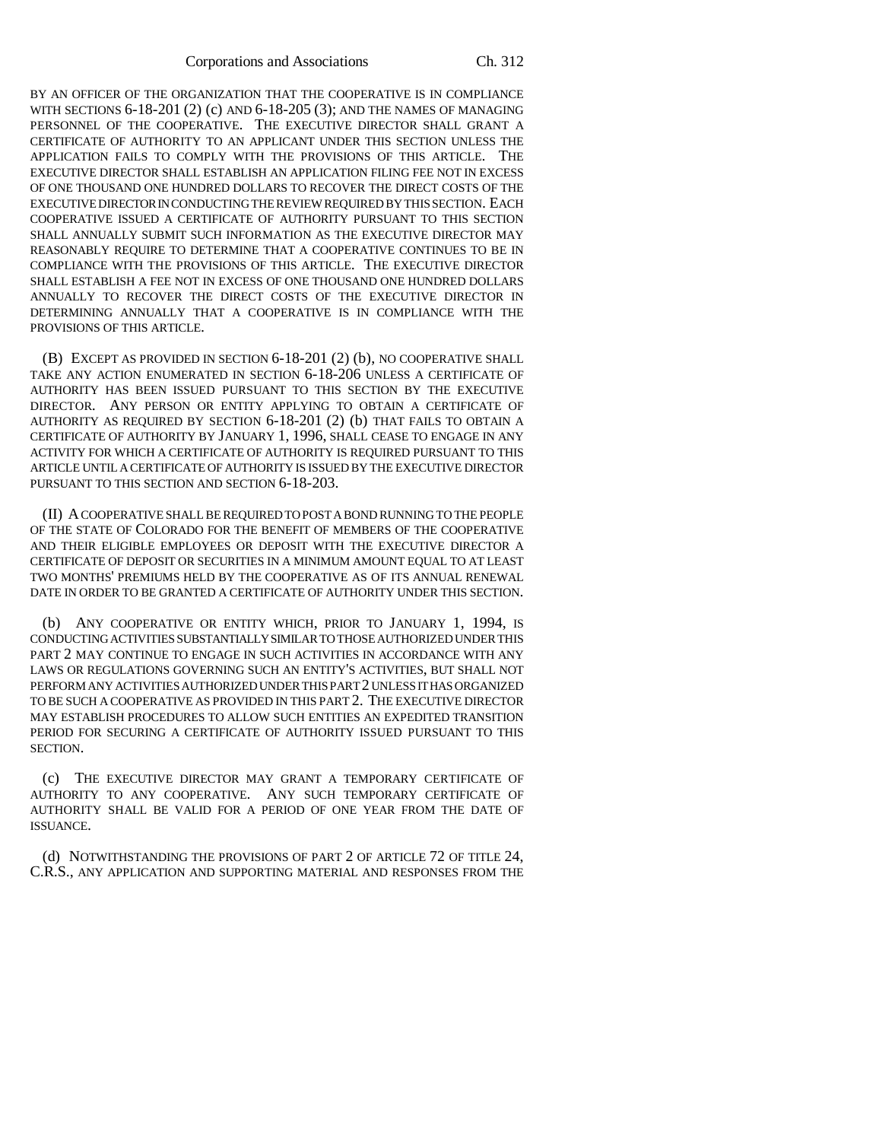BY AN OFFICER OF THE ORGANIZATION THAT THE COOPERATIVE IS IN COMPLIANCE WITH SECTIONS 6-18-201 (2) (c) AND 6-18-205 (3); AND THE NAMES OF MANAGING PERSONNEL OF THE COOPERATIVE. THE EXECUTIVE DIRECTOR SHALL GRANT A CERTIFICATE OF AUTHORITY TO AN APPLICANT UNDER THIS SECTION UNLESS THE APPLICATION FAILS TO COMPLY WITH THE PROVISIONS OF THIS ARTICLE. THE EXECUTIVE DIRECTOR SHALL ESTABLISH AN APPLICATION FILING FEE NOT IN EXCESS OF ONE THOUSAND ONE HUNDRED DOLLARS TO RECOVER THE DIRECT COSTS OF THE EXECUTIVE DIRECTOR IN CONDUCTING THE REVIEW REQUIRED BY THIS SECTION. EACH COOPERATIVE ISSUED A CERTIFICATE OF AUTHORITY PURSUANT TO THIS SECTION SHALL ANNUALLY SUBMIT SUCH INFORMATION AS THE EXECUTIVE DIRECTOR MAY REASONABLY REQUIRE TO DETERMINE THAT A COOPERATIVE CONTINUES TO BE IN COMPLIANCE WITH THE PROVISIONS OF THIS ARTICLE. THE EXECUTIVE DIRECTOR SHALL ESTABLISH A FEE NOT IN EXCESS OF ONE THOUSAND ONE HUNDRED DOLLARS ANNUALLY TO RECOVER THE DIRECT COSTS OF THE EXECUTIVE DIRECTOR IN DETERMINING ANNUALLY THAT A COOPERATIVE IS IN COMPLIANCE WITH THE PROVISIONS OF THIS ARTICLE.

(B) EXCEPT AS PROVIDED IN SECTION 6-18-201 (2) (b), NO COOPERATIVE SHALL TAKE ANY ACTION ENUMERATED IN SECTION 6-18-206 UNLESS A CERTIFICATE OF AUTHORITY HAS BEEN ISSUED PURSUANT TO THIS SECTION BY THE EXECUTIVE DIRECTOR. ANY PERSON OR ENTITY APPLYING TO OBTAIN A CERTIFICATE OF AUTHORITY AS REQUIRED BY SECTION 6-18-201 (2) (b) THAT FAILS TO OBTAIN A CERTIFICATE OF AUTHORITY BY JANUARY 1, 1996, SHALL CEASE TO ENGAGE IN ANY ACTIVITY FOR WHICH A CERTIFICATE OF AUTHORITY IS REQUIRED PURSUANT TO THIS ARTICLE UNTIL A CERTIFICATE OF AUTHORITY IS ISSUED BY THE EXECUTIVE DIRECTOR PURSUANT TO THIS SECTION AND SECTION 6-18-203.

(II) A COOPERATIVE SHALL BE REQUIRED TO POST A BOND RUNNING TO THE PEOPLE OF THE STATE OF COLORADO FOR THE BENEFIT OF MEMBERS OF THE COOPERATIVE AND THEIR ELIGIBLE EMPLOYEES OR DEPOSIT WITH THE EXECUTIVE DIRECTOR A CERTIFICATE OF DEPOSIT OR SECURITIES IN A MINIMUM AMOUNT EQUAL TO AT LEAST TWO MONTHS' PREMIUMS HELD BY THE COOPERATIVE AS OF ITS ANNUAL RENEWAL DATE IN ORDER TO BE GRANTED A CERTIFICATE OF AUTHORITY UNDER THIS SECTION.

(b) ANY COOPERATIVE OR ENTITY WHICH, PRIOR TO JANUARY 1, 1994, IS CONDUCTING ACTIVITIES SUBSTANTIALLY SIMILAR TO THOSE AUTHORIZED UNDER THIS PART 2 MAY CONTINUE TO ENGAGE IN SUCH ACTIVITIES IN ACCORDANCE WITH ANY LAWS OR REGULATIONS GOVERNING SUCH AN ENTITY'S ACTIVITIES, BUT SHALL NOT PERFORM ANY ACTIVITIES AUTHORIZED UNDER THIS PART 2 UNLESS IT HAS ORGANIZED TO BE SUCH A COOPERATIVE AS PROVIDED IN THIS PART 2. THE EXECUTIVE DIRECTOR MAY ESTABLISH PROCEDURES TO ALLOW SUCH ENTITIES AN EXPEDITED TRANSITION PERIOD FOR SECURING A CERTIFICATE OF AUTHORITY ISSUED PURSUANT TO THIS SECTION.

(c) THE EXECUTIVE DIRECTOR MAY GRANT A TEMPORARY CERTIFICATE OF AUTHORITY TO ANY COOPERATIVE. ANY SUCH TEMPORARY CERTIFICATE OF AUTHORITY SHALL BE VALID FOR A PERIOD OF ONE YEAR FROM THE DATE OF ISSUANCE.

(d) NOTWITHSTANDING THE PROVISIONS OF PART 2 OF ARTICLE 72 OF TITLE 24, C.R.S., ANY APPLICATION AND SUPPORTING MATERIAL AND RESPONSES FROM THE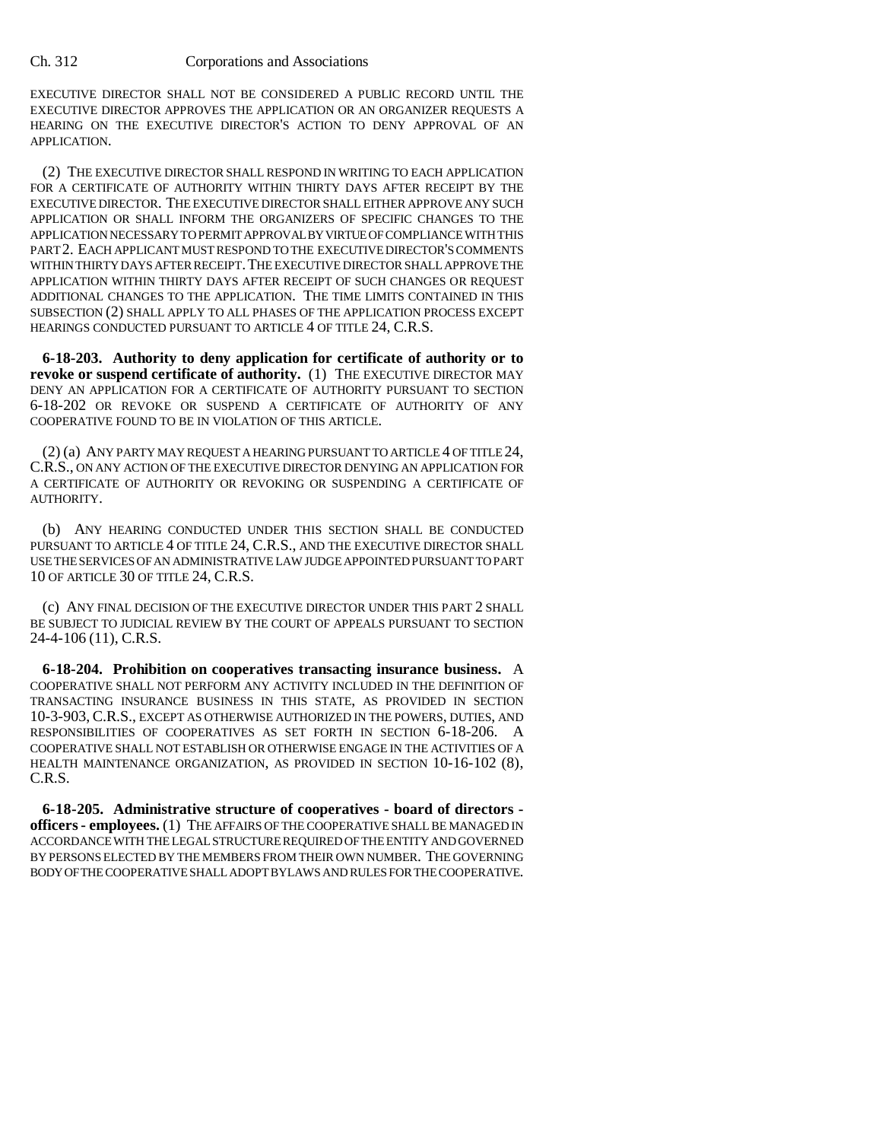EXECUTIVE DIRECTOR SHALL NOT BE CONSIDERED A PUBLIC RECORD UNTIL THE EXECUTIVE DIRECTOR APPROVES THE APPLICATION OR AN ORGANIZER REQUESTS A HEARING ON THE EXECUTIVE DIRECTOR'S ACTION TO DENY APPROVAL OF AN APPLICATION.

(2) THE EXECUTIVE DIRECTOR SHALL RESPOND IN WRITING TO EACH APPLICATION FOR A CERTIFICATE OF AUTHORITY WITHIN THIRTY DAYS AFTER RECEIPT BY THE EXECUTIVE DIRECTOR. THE EXECUTIVE DIRECTOR SHALL EITHER APPROVE ANY SUCH APPLICATION OR SHALL INFORM THE ORGANIZERS OF SPECIFIC CHANGES TO THE APPLICATION NECESSARY TO PERMIT APPROVAL BY VIRTUE OF COMPLIANCE WITH THIS PART 2. EACH APPLICANT MUST RESPOND TO THE EXECUTIVE DIRECTOR'S COMMENTS WITHIN THIRTY DAYS AFTER RECEIPT. THE EXECUTIVE DIRECTOR SHALL APPROVE THE APPLICATION WITHIN THIRTY DAYS AFTER RECEIPT OF SUCH CHANGES OR REOUEST ADDITIONAL CHANGES TO THE APPLICATION. THE TIME LIMITS CONTAINED IN THIS SUBSECTION (2) SHALL APPLY TO ALL PHASES OF THE APPLICATION PROCESS EXCEPT HEARINGS CONDUCTED PURSUANT TO ARTICLE 4 OF TITLE 24, C.R.S.

**6-18-203. Authority to deny application for certificate of authority or to revoke or suspend certificate of authority.** (1) THE EXECUTIVE DIRECTOR MAY DENY AN APPLICATION FOR A CERTIFICATE OF AUTHORITY PURSUANT TO SECTION 6-18-202 OR REVOKE OR SUSPEND A CERTIFICATE OF AUTHORITY OF ANY COOPERATIVE FOUND TO BE IN VIOLATION OF THIS ARTICLE.

(2) (a) ANY PARTY MAY REQUEST A HEARING PURSUANT TO ARTICLE 4 OF TITLE 24, C.R.S., ON ANY ACTION OF THE EXECUTIVE DIRECTOR DENYING AN APPLICATION FOR A CERTIFICATE OF AUTHORITY OR REVOKING OR SUSPENDING A CERTIFICATE OF AUTHORITY.

(b) ANY HEARING CONDUCTED UNDER THIS SECTION SHALL BE CONDUCTED PURSUANT TO ARTICLE 4 OF TITLE 24, C.R.S., AND THE EXECUTIVE DIRECTOR SHALL USE THE SERVICES OF AN ADMINISTRATIVE LAW JUDGE APPOINTED PURSUANT TO PART 10 OF ARTICLE 30 OF TITLE 24, C.R.S.

(c) ANY FINAL DECISION OF THE EXECUTIVE DIRECTOR UNDER THIS PART 2 SHALL BE SUBJECT TO JUDICIAL REVIEW BY THE COURT OF APPEALS PURSUANT TO SECTION 24-4-106 (11), C.R.S.

**6-18-204. Prohibition on cooperatives transacting insurance business.** A COOPERATIVE SHALL NOT PERFORM ANY ACTIVITY INCLUDED IN THE DEFINITION OF TRANSACTING INSURANCE BUSINESS IN THIS STATE, AS PROVIDED IN SECTION 10-3-903, C.R.S., EXCEPT AS OTHERWISE AUTHORIZED IN THE POWERS, DUTIES, AND RESPONSIBILITIES OF COOPERATIVES AS SET FORTH IN SECTION 6-18-206. A COOPERATIVE SHALL NOT ESTABLISH OR OTHERWISE ENGAGE IN THE ACTIVITIES OF A HEALTH MAINTENANCE ORGANIZATION, AS PROVIDED IN SECTION 10-16-102 (8), C.R.S.

**6-18-205. Administrative structure of cooperatives - board of directors officers - employees.** (1) THE AFFAIRS OF THE COOPERATIVE SHALL BE MANAGED IN ACCORDANCE WITH THE LEGAL STRUCTURE REQUIRED OF THE ENTITY AND GOVERNED BY PERSONS ELECTED BY THE MEMBERS FROM THEIR OWN NUMBER. THE GOVERNING BODY OF THE COOPERATIVE SHALL ADOPT BYLAWS AND RULES FOR THE COOPERATIVE.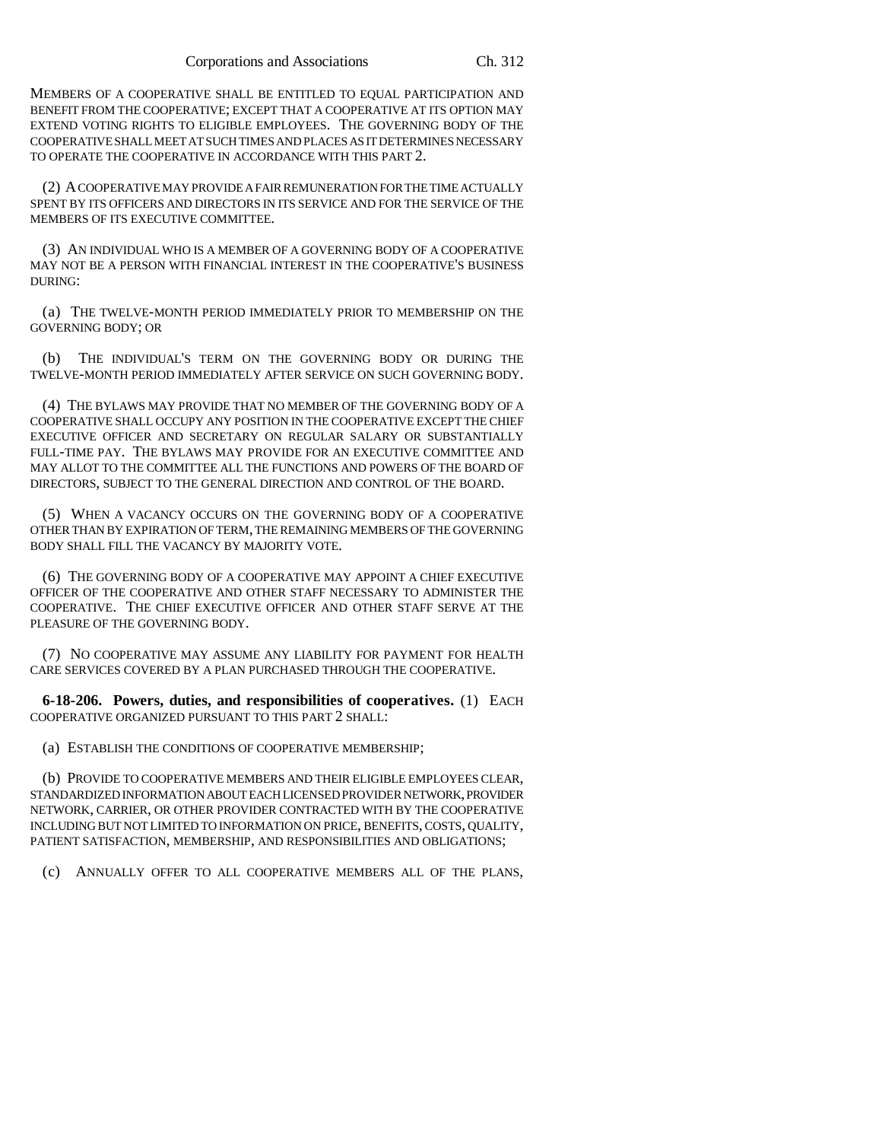MEMBERS OF A COOPERATIVE SHALL BE ENTITLED TO EQUAL PARTICIPATION AND BENEFIT FROM THE COOPERATIVE; EXCEPT THAT A COOPERATIVE AT ITS OPTION MAY EXTEND VOTING RIGHTS TO ELIGIBLE EMPLOYEES. THE GOVERNING BODY OF THE COOPERATIVE SHALL MEET AT SUCH TIMES AND PLACES AS IT DETERMINES NECESSARY TO OPERATE THE COOPERATIVE IN ACCORDANCE WITH THIS PART 2.

(2) A COOPERATIVE MAY PROVIDE A FAIR REMUNERATION FOR THE TIME ACTUALLY SPENT BY ITS OFFICERS AND DIRECTORS IN ITS SERVICE AND FOR THE SERVICE OF THE MEMBERS OF ITS EXECUTIVE COMMITTEE.

(3) AN INDIVIDUAL WHO IS A MEMBER OF A GOVERNING BODY OF A COOPERATIVE MAY NOT BE A PERSON WITH FINANCIAL INTEREST IN THE COOPERATIVE'S BUSINESS DURING:

(a) THE TWELVE-MONTH PERIOD IMMEDIATELY PRIOR TO MEMBERSHIP ON THE GOVERNING BODY; OR

(b) THE INDIVIDUAL'S TERM ON THE GOVERNING BODY OR DURING THE TWELVE-MONTH PERIOD IMMEDIATELY AFTER SERVICE ON SUCH GOVERNING BODY.

(4) THE BYLAWS MAY PROVIDE THAT NO MEMBER OF THE GOVERNING BODY OF A COOPERATIVE SHALL OCCUPY ANY POSITION IN THE COOPERATIVE EXCEPT THE CHIEF EXECUTIVE OFFICER AND SECRETARY ON REGULAR SALARY OR SUBSTANTIALLY FULL-TIME PAY. THE BYLAWS MAY PROVIDE FOR AN EXECUTIVE COMMITTEE AND MAY ALLOT TO THE COMMITTEE ALL THE FUNCTIONS AND POWERS OF THE BOARD OF DIRECTORS, SUBJECT TO THE GENERAL DIRECTION AND CONTROL OF THE BOARD.

(5) WHEN A VACANCY OCCURS ON THE GOVERNING BODY OF A COOPERATIVE OTHER THAN BY EXPIRATION OF TERM, THE REMAINING MEMBERS OF THE GOVERNING BODY SHALL FILL THE VACANCY BY MAJORITY VOTE.

(6) THE GOVERNING BODY OF A COOPERATIVE MAY APPOINT A CHIEF EXECUTIVE OFFICER OF THE COOPERATIVE AND OTHER STAFF NECESSARY TO ADMINISTER THE COOPERATIVE. THE CHIEF EXECUTIVE OFFICER AND OTHER STAFF SERVE AT THE PLEASURE OF THE GOVERNING BODY.

(7) NO COOPERATIVE MAY ASSUME ANY LIABILITY FOR PAYMENT FOR HEALTH CARE SERVICES COVERED BY A PLAN PURCHASED THROUGH THE COOPERATIVE.

**6-18-206. Powers, duties, and responsibilities of cooperatives.** (1) EACH COOPERATIVE ORGANIZED PURSUANT TO THIS PART 2 SHALL:

(a) ESTABLISH THE CONDITIONS OF COOPERATIVE MEMBERSHIP;

(b) PROVIDE TO COOPERATIVE MEMBERS AND THEIR ELIGIBLE EMPLOYEES CLEAR, STANDARDIZED INFORMATION ABOUT EACH LICENSED PROVIDER NETWORK, PROVIDER NETWORK, CARRIER, OR OTHER PROVIDER CONTRACTED WITH BY THE COOPERATIVE INCLUDING BUT NOT LIMITED TO INFORMATION ON PRICE, BENEFITS, COSTS, QUALITY, PATIENT SATISFACTION, MEMBERSHIP, AND RESPONSIBILITIES AND OBLIGATIONS;

(c) ANNUALLY OFFER TO ALL COOPERATIVE MEMBERS ALL OF THE PLANS,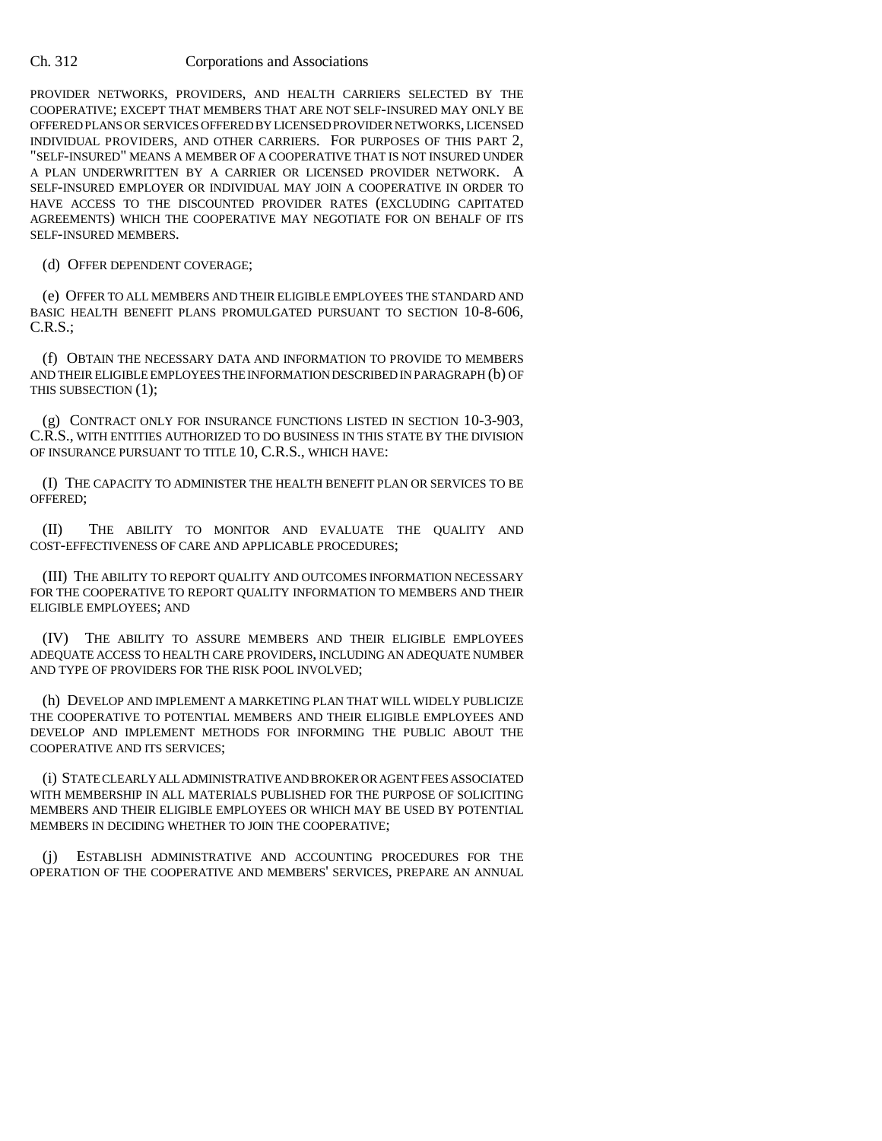PROVIDER NETWORKS, PROVIDERS, AND HEALTH CARRIERS SELECTED BY THE COOPERATIVE; EXCEPT THAT MEMBERS THAT ARE NOT SELF-INSURED MAY ONLY BE OFFERED PLANS OR SERVICES OFFERED BY LICENSED PROVIDER NETWORKS, LICENSED INDIVIDUAL PROVIDERS, AND OTHER CARRIERS. FOR PURPOSES OF THIS PART 2, "SELF-INSURED" MEANS A MEMBER OF A COOPERATIVE THAT IS NOT INSURED UNDER A PLAN UNDERWRITTEN BY A CARRIER OR LICENSED PROVIDER NETWORK. A SELF-INSURED EMPLOYER OR INDIVIDUAL MAY JOIN A COOPERATIVE IN ORDER TO HAVE ACCESS TO THE DISCOUNTED PROVIDER RATES (EXCLUDING CAPITATED AGREEMENTS) WHICH THE COOPERATIVE MAY NEGOTIATE FOR ON BEHALF OF ITS SELF-INSURED MEMBERS.

(d) OFFER DEPENDENT COVERAGE;

(e) OFFER TO ALL MEMBERS AND THEIR ELIGIBLE EMPLOYEES THE STANDARD AND BASIC HEALTH BENEFIT PLANS PROMULGATED PURSUANT TO SECTION 10-8-606, C.R.S.;

(f) OBTAIN THE NECESSARY DATA AND INFORMATION TO PROVIDE TO MEMBERS AND THEIR ELIGIBLE EMPLOYEES THE INFORMATION DESCRIBED IN PARAGRAPH (b) OF THIS SUBSECTION (1);

(g) CONTRACT ONLY FOR INSURANCE FUNCTIONS LISTED IN SECTION 10-3-903, C.R.S., WITH ENTITIES AUTHORIZED TO DO BUSINESS IN THIS STATE BY THE DIVISION OF INSURANCE PURSUANT TO TITLE 10, C.R.S., WHICH HAVE:

(I) THE CAPACITY TO ADMINISTER THE HEALTH BENEFIT PLAN OR SERVICES TO BE OFFERED;

(II) THE ABILITY TO MONITOR AND EVALUATE THE QUALITY AND COST-EFFECTIVENESS OF CARE AND APPLICABLE PROCEDURES;

(III) THE ABILITY TO REPORT QUALITY AND OUTCOMES INFORMATION NECESSARY FOR THE COOPERATIVE TO REPORT QUALITY INFORMATION TO MEMBERS AND THEIR ELIGIBLE EMPLOYEES; AND

(IV) THE ABILITY TO ASSURE MEMBERS AND THEIR ELIGIBLE EMPLOYEES ADEQUATE ACCESS TO HEALTH CARE PROVIDERS, INCLUDING AN ADEQUATE NUMBER AND TYPE OF PROVIDERS FOR THE RISK POOL INVOLVED;

(h) DEVELOP AND IMPLEMENT A MARKETING PLAN THAT WILL WIDELY PUBLICIZE THE COOPERATIVE TO POTENTIAL MEMBERS AND THEIR ELIGIBLE EMPLOYEES AND DEVELOP AND IMPLEMENT METHODS FOR INFORMING THE PUBLIC ABOUT THE COOPERATIVE AND ITS SERVICES;

(i) STATE CLEARLY ALL ADMINISTRATIVE AND BROKER OR AGENT FEES ASSOCIATED WITH MEMBERSHIP IN ALL MATERIALS PUBLISHED FOR THE PURPOSE OF SOLICITING MEMBERS AND THEIR ELIGIBLE EMPLOYEES OR WHICH MAY BE USED BY POTENTIAL MEMBERS IN DECIDING WHETHER TO JOIN THE COOPERATIVE;

(j) ESTABLISH ADMINISTRATIVE AND ACCOUNTING PROCEDURES FOR THE OPERATION OF THE COOPERATIVE AND MEMBERS' SERVICES, PREPARE AN ANNUAL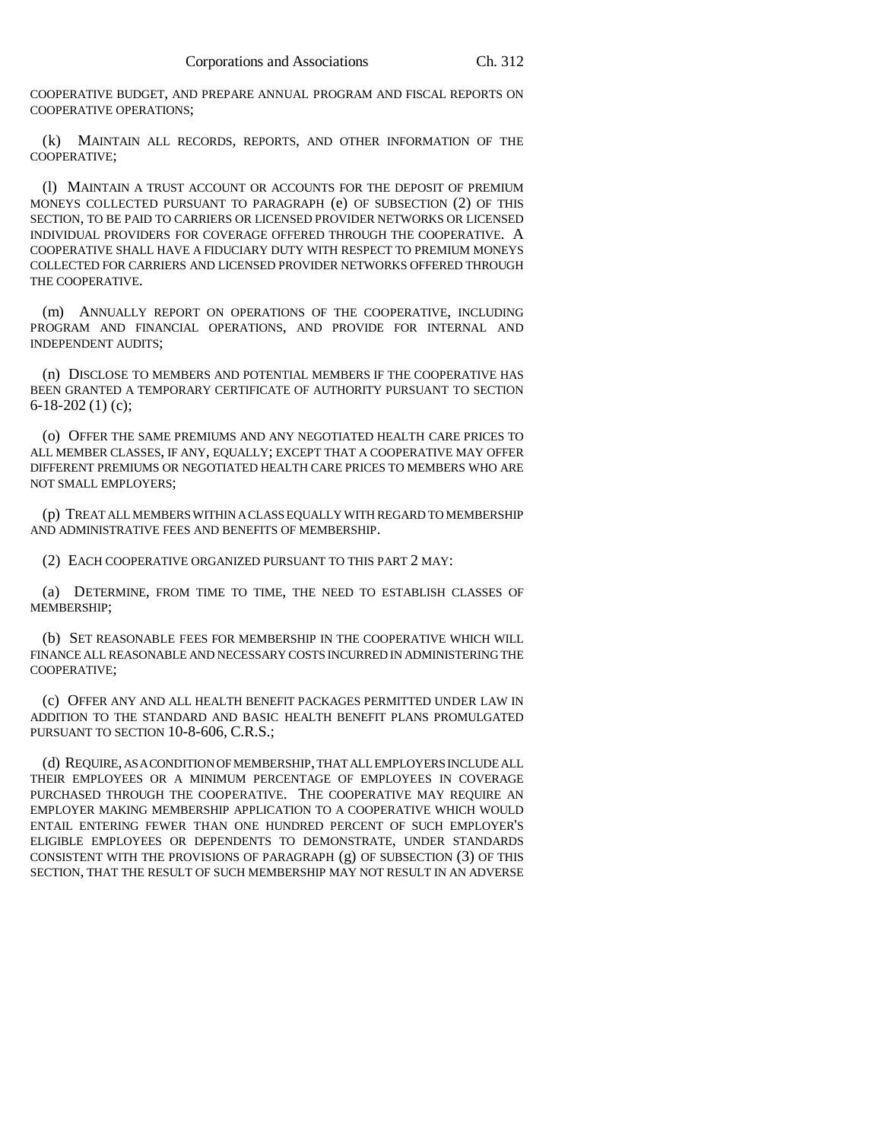COOPERATIVE BUDGET, AND PREPARE ANNUAL PROGRAM AND FISCAL REPORTS ON COOPERATIVE OPERATIONS;

(k) MAINTAIN ALL RECORDS, REPORTS, AND OTHER INFORMATION OF THE COOPERATIVE;

(l) MAINTAIN A TRUST ACCOUNT OR ACCOUNTS FOR THE DEPOSIT OF PREMIUM MONEYS COLLECTED PURSUANT TO PARAGRAPH (e) OF SUBSECTION (2) OF THIS SECTION, TO BE PAID TO CARRIERS OR LICENSED PROVIDER NETWORKS OR LICENSED INDIVIDUAL PROVIDERS FOR COVERAGE OFFERED THROUGH THE COOPERATIVE. A COOPERATIVE SHALL HAVE A FIDUCIARY DUTY WITH RESPECT TO PREMIUM MONEYS COLLECTED FOR CARRIERS AND LICENSED PROVIDER NETWORKS OFFERED THROUGH THE COOPERATIVE.

(m) ANNUALLY REPORT ON OPERATIONS OF THE COOPERATIVE, INCLUDING PROGRAM AND FINANCIAL OPERATIONS, AND PROVIDE FOR INTERNAL AND INDEPENDENT AUDITS;

(n) DISCLOSE TO MEMBERS AND POTENTIAL MEMBERS IF THE COOPERATIVE HAS BEEN GRANTED A TEMPORARY CERTIFICATE OF AUTHORITY PURSUANT TO SECTION 6-18-202 (1) (c);

(o) OFFER THE SAME PREMIUMS AND ANY NEGOTIATED HEALTH CARE PRICES TO ALL MEMBER CLASSES, IF ANY, EQUALLY; EXCEPT THAT A COOPERATIVE MAY OFFER DIFFERENT PREMIUMS OR NEGOTIATED HEALTH CARE PRICES TO MEMBERS WHO ARE NOT SMALL EMPLOYERS;

(p) TREAT ALL MEMBERS WITHIN A CLASS EQUALLY WITH REGARD TO MEMBERSHIP AND ADMINISTRATIVE FEES AND BENEFITS OF MEMBERSHIP.

(2) EACH COOPERATIVE ORGANIZED PURSUANT TO THIS PART 2 MAY:

(a) DETERMINE, FROM TIME TO TIME, THE NEED TO ESTABLISH CLASSES OF MEMBERSHIP;

(b) SET REASONABLE FEES FOR MEMBERSHIP IN THE COOPERATIVE WHICH WILL FINANCE ALL REASONABLE AND NECESSARY COSTS INCURRED IN ADMINISTERING THE COOPERATIVE;

(c) OFFER ANY AND ALL HEALTH BENEFIT PACKAGES PERMITTED UNDER LAW IN ADDITION TO THE STANDARD AND BASIC HEALTH BENEFIT PLANS PROMULGATED PURSUANT TO SECTION 10-8-606, C.R.S.;

(d) REQUIRE, AS A CONDITION OF MEMBERSHIP, THAT ALL EMPLOYERS INCLUDE ALL THEIR EMPLOYEES OR A MINIMUM PERCENTAGE OF EMPLOYEES IN COVERAGE PURCHASED THROUGH THE COOPERATIVE. THE COOPERATIVE MAY REQUIRE AN EMPLOYER MAKING MEMBERSHIP APPLICATION TO A COOPERATIVE WHICH WOULD ENTAIL ENTERING FEWER THAN ONE HUNDRED PERCENT OF SUCH EMPLOYER'S ELIGIBLE EMPLOYEES OR DEPENDENTS TO DEMONSTRATE, UNDER STANDARDS CONSISTENT WITH THE PROVISIONS OF PARAGRAPH (g) OF SUBSECTION (3) OF THIS SECTION, THAT THE RESULT OF SUCH MEMBERSHIP MAY NOT RESULT IN AN ADVERSE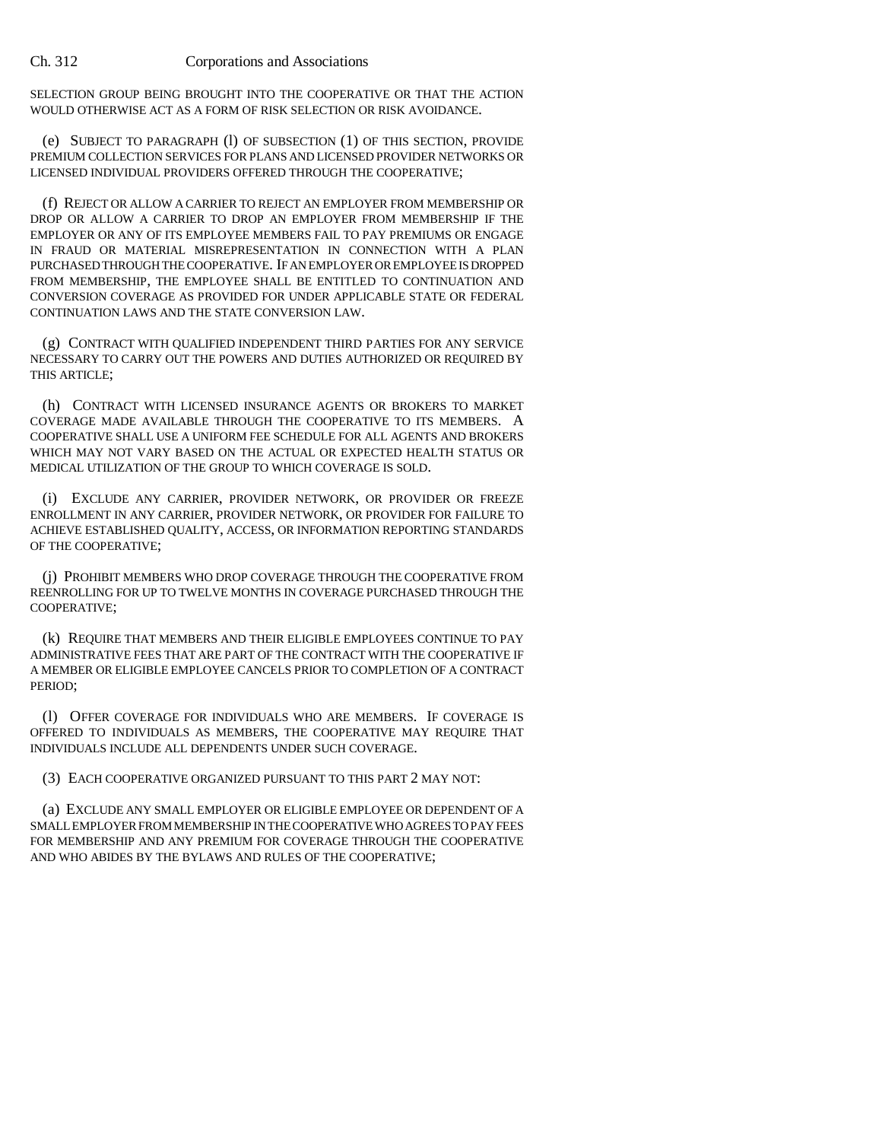SELECTION GROUP BEING BROUGHT INTO THE COOPERATIVE OR THAT THE ACTION WOULD OTHERWISE ACT AS A FORM OF RISK SELECTION OR RISK AVOIDANCE.

(e) SUBJECT TO PARAGRAPH (l) OF SUBSECTION (1) OF THIS SECTION, PROVIDE PREMIUM COLLECTION SERVICES FOR PLANS AND LICENSED PROVIDER NETWORKS OR LICENSED INDIVIDUAL PROVIDERS OFFERED THROUGH THE COOPERATIVE;

(f) REJECT OR ALLOW A CARRIER TO REJECT AN EMPLOYER FROM MEMBERSHIP OR DROP OR ALLOW A CARRIER TO DROP AN EMPLOYER FROM MEMBERSHIP IF THE EMPLOYER OR ANY OF ITS EMPLOYEE MEMBERS FAIL TO PAY PREMIUMS OR ENGAGE IN FRAUD OR MATERIAL MISREPRESENTATION IN CONNECTION WITH A PLAN PURCHASED THROUGH THE COOPERATIVE. IF AN EMPLOYER OR EMPLOYEE IS DROPPED FROM MEMBERSHIP, THE EMPLOYEE SHALL BE ENTITLED TO CONTINUATION AND CONVERSION COVERAGE AS PROVIDED FOR UNDER APPLICABLE STATE OR FEDERAL CONTINUATION LAWS AND THE STATE CONVERSION LAW.

(g) CONTRACT WITH QUALIFIED INDEPENDENT THIRD PARTIES FOR ANY SERVICE NECESSARY TO CARRY OUT THE POWERS AND DUTIES AUTHORIZED OR REQUIRED BY THIS ARTICLE;

(h) CONTRACT WITH LICENSED INSURANCE AGENTS OR BROKERS TO MARKET COVERAGE MADE AVAILABLE THROUGH THE COOPERATIVE TO ITS MEMBERS. A COOPERATIVE SHALL USE A UNIFORM FEE SCHEDULE FOR ALL AGENTS AND BROKERS WHICH MAY NOT VARY BASED ON THE ACTUAL OR EXPECTED HEALTH STATUS OR MEDICAL UTILIZATION OF THE GROUP TO WHICH COVERAGE IS SOLD.

(i) EXCLUDE ANY CARRIER, PROVIDER NETWORK, OR PROVIDER OR FREEZE ENROLLMENT IN ANY CARRIER, PROVIDER NETWORK, OR PROVIDER FOR FAILURE TO ACHIEVE ESTABLISHED QUALITY, ACCESS, OR INFORMATION REPORTING STANDARDS OF THE COOPERATIVE;

(j) PROHIBIT MEMBERS WHO DROP COVERAGE THROUGH THE COOPERATIVE FROM REENROLLING FOR UP TO TWELVE MONTHS IN COVERAGE PURCHASED THROUGH THE COOPERATIVE;

(k) REQUIRE THAT MEMBERS AND THEIR ELIGIBLE EMPLOYEES CONTINUE TO PAY ADMINISTRATIVE FEES THAT ARE PART OF THE CONTRACT WITH THE COOPERATIVE IF A MEMBER OR ELIGIBLE EMPLOYEE CANCELS PRIOR TO COMPLETION OF A CONTRACT PERIOD;

(l) OFFER COVERAGE FOR INDIVIDUALS WHO ARE MEMBERS. IF COVERAGE IS OFFERED TO INDIVIDUALS AS MEMBERS, THE COOPERATIVE MAY REQUIRE THAT INDIVIDUALS INCLUDE ALL DEPENDENTS UNDER SUCH COVERAGE.

(3) EACH COOPERATIVE ORGANIZED PURSUANT TO THIS PART 2 MAY NOT:

(a) EXCLUDE ANY SMALL EMPLOYER OR ELIGIBLE EMPLOYEE OR DEPENDENT OF A SMALL EMPLOYER FROM MEMBERSHIP IN THE COOPERATIVE WHO AGREES TO PAY FEES FOR MEMBERSHIP AND ANY PREMIUM FOR COVERAGE THROUGH THE COOPERATIVE AND WHO ABIDES BY THE BYLAWS AND RULES OF THE COOPERATIVE;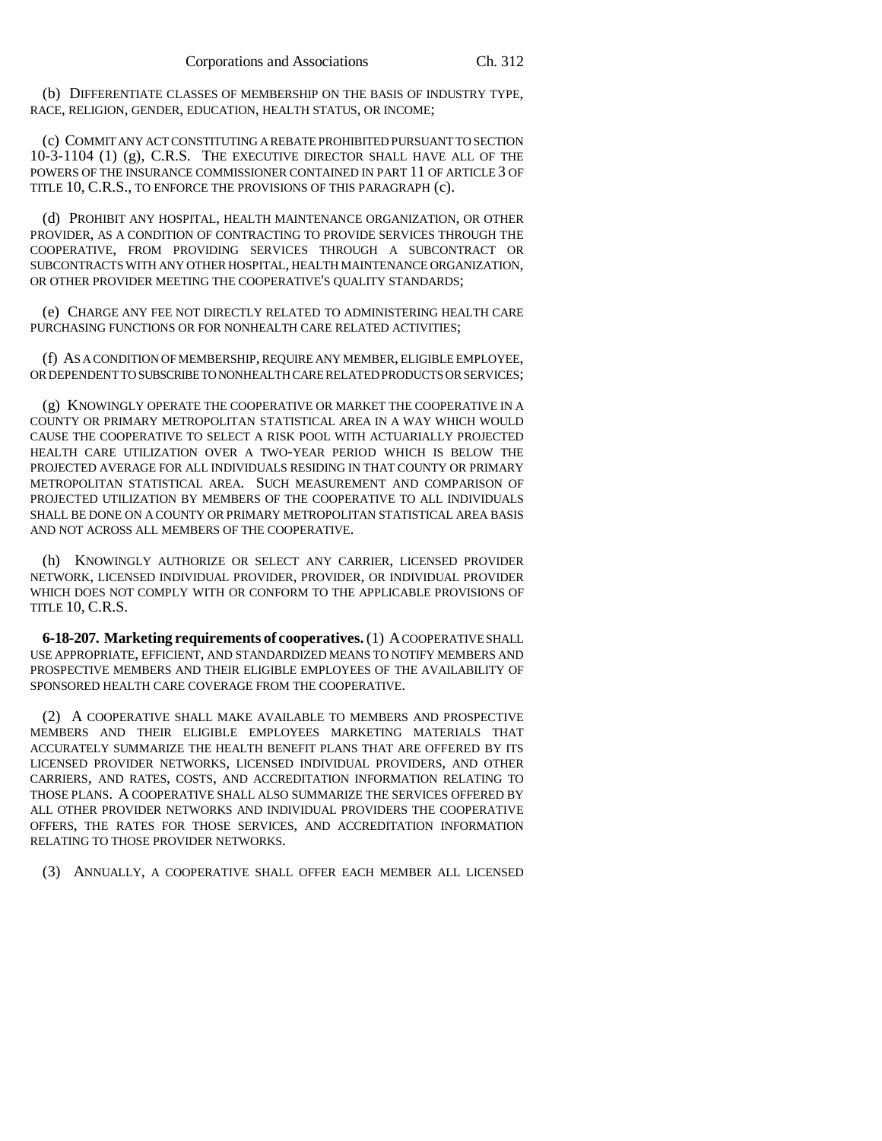(b) DIFFERENTIATE CLASSES OF MEMBERSHIP ON THE BASIS OF INDUSTRY TYPE, RACE, RELIGION, GENDER, EDUCATION, HEALTH STATUS, OR INCOME;

(c) COMMIT ANY ACT CONSTITUTING A REBATE PROHIBITED PURSUANT TO SECTION 10-3-1104 (1) (g), C.R.S. THE EXECUTIVE DIRECTOR SHALL HAVE ALL OF THE POWERS OF THE INSURANCE COMMISSIONER CONTAINED IN PART 11 OF ARTICLE 3 OF TITLE 10, C.R.S., TO ENFORCE THE PROVISIONS OF THIS PARAGRAPH (c).

(d) PROHIBIT ANY HOSPITAL, HEALTH MAINTENANCE ORGANIZATION, OR OTHER PROVIDER, AS A CONDITION OF CONTRACTING TO PROVIDE SERVICES THROUGH THE COOPERATIVE, FROM PROVIDING SERVICES THROUGH A SUBCONTRACT OR SUBCONTRACTS WITH ANY OTHER HOSPITAL, HEALTH MAINTENANCE ORGANIZATION, OR OTHER PROVIDER MEETING THE COOPERATIVE'S QUALITY STANDARDS;

(e) CHARGE ANY FEE NOT DIRECTLY RELATED TO ADMINISTERING HEALTH CARE PURCHASING FUNCTIONS OR FOR NONHEALTH CARE RELATED ACTIVITIES;

(f) AS A CONDITION OF MEMBERSHIP, REQUIRE ANY MEMBER, ELIGIBLE EMPLOYEE, OR DEPENDENT TO SUBSCRIBE TO NONHEALTH CARE RELATED PRODUCTS OR SERVICES;

(g) KNOWINGLY OPERATE THE COOPERATIVE OR MARKET THE COOPERATIVE IN A COUNTY OR PRIMARY METROPOLITAN STATISTICAL AREA IN A WAY WHICH WOULD CAUSE THE COOPERATIVE TO SELECT A RISK POOL WITH ACTUARIALLY PROJECTED HEALTH CARE UTILIZATION OVER A TWO-YEAR PERIOD WHICH IS BELOW THE PROJECTED AVERAGE FOR ALL INDIVIDUALS RESIDING IN THAT COUNTY OR PRIMARY METROPOLITAN STATISTICAL AREA. SUCH MEASUREMENT AND COMPARISON OF PROJECTED UTILIZATION BY MEMBERS OF THE COOPERATIVE TO ALL INDIVIDUALS SHALL BE DONE ON A COUNTY OR PRIMARY METROPOLITAN STATISTICAL AREA BASIS AND NOT ACROSS ALL MEMBERS OF THE COOPERATIVE.

(h) KNOWINGLY AUTHORIZE OR SELECT ANY CARRIER, LICENSED PROVIDER NETWORK, LICENSED INDIVIDUAL PROVIDER, PROVIDER, OR INDIVIDUAL PROVIDER WHICH DOES NOT COMPLY WITH OR CONFORM TO THE APPLICABLE PROVISIONS OF TITLE 10, C.R.S.

**6-18-207. Marketing requirements of cooperatives.** (1) A COOPERATIVE SHALL USE APPROPRIATE, EFFICIENT, AND STANDARDIZED MEANS TO NOTIFY MEMBERS AND PROSPECTIVE MEMBERS AND THEIR ELIGIBLE EMPLOYEES OF THE AVAILABILITY OF SPONSORED HEALTH CARE COVERAGE FROM THE COOPERATIVE.

(2) A COOPERATIVE SHALL MAKE AVAILABLE TO MEMBERS AND PROSPECTIVE MEMBERS AND THEIR ELIGIBLE EMPLOYEES MARKETING MATERIALS THAT ACCURATELY SUMMARIZE THE HEALTH BENEFIT PLANS THAT ARE OFFERED BY ITS LICENSED PROVIDER NETWORKS, LICENSED INDIVIDUAL PROVIDERS, AND OTHER CARRIERS, AND RATES, COSTS, AND ACCREDITATION INFORMATION RELATING TO THOSE PLANS. A COOPERATIVE SHALL ALSO SUMMARIZE THE SERVICES OFFERED BY ALL OTHER PROVIDER NETWORKS AND INDIVIDUAL PROVIDERS THE COOPERATIVE OFFERS, THE RATES FOR THOSE SERVICES, AND ACCREDITATION INFORMATION RELATING TO THOSE PROVIDER NETWORKS.

(3) ANNUALLY, A COOPERATIVE SHALL OFFER EACH MEMBER ALL LICENSED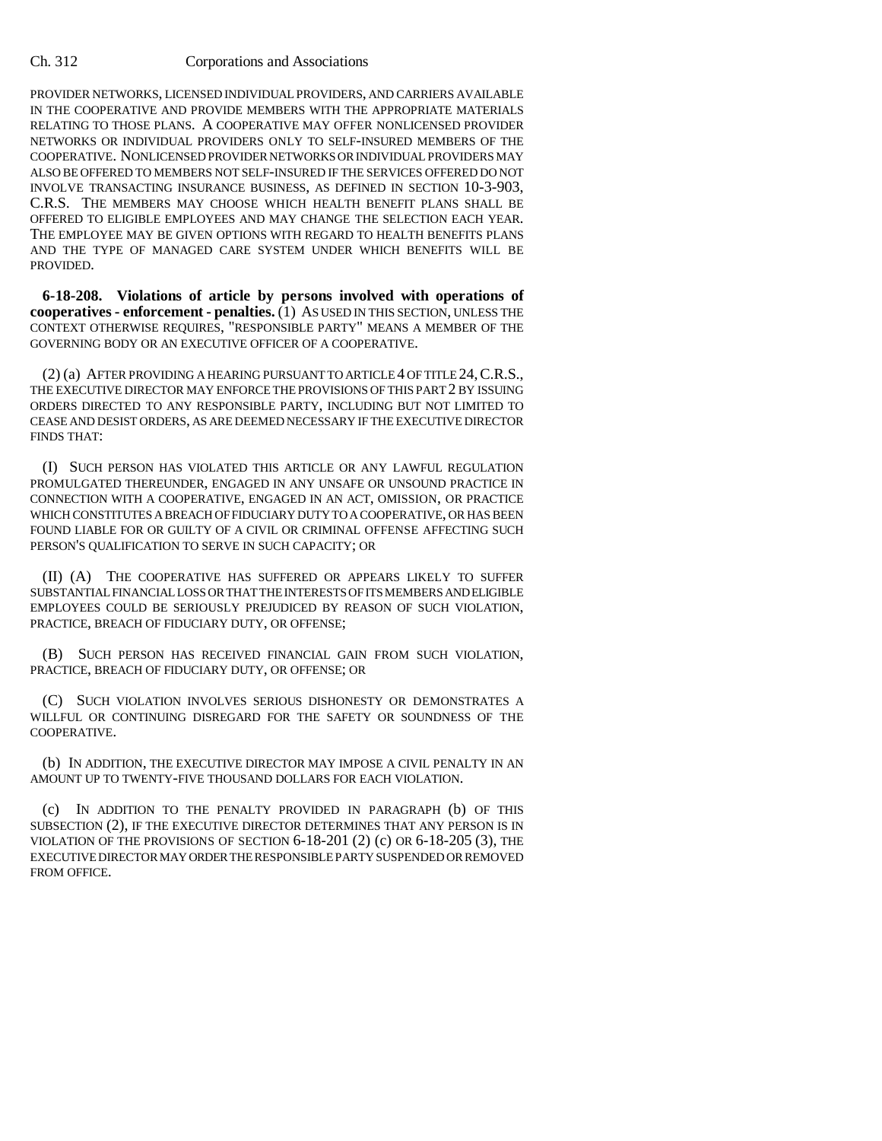PROVIDER NETWORKS, LICENSED INDIVIDUAL PROVIDERS, AND CARRIERS AVAILABLE IN THE COOPERATIVE AND PROVIDE MEMBERS WITH THE APPROPRIATE MATERIALS RELATING TO THOSE PLANS. A COOPERATIVE MAY OFFER NONLICENSED PROVIDER NETWORKS OR INDIVIDUAL PROVIDERS ONLY TO SELF-INSURED MEMBERS OF THE COOPERATIVE. NONLICENSED PROVIDER NETWORKS OR INDIVIDUAL PROVIDERS MAY ALSO BE OFFERED TO MEMBERS NOT SELF-INSURED IF THE SERVICES OFFERED DO NOT INVOLVE TRANSACTING INSURANCE BUSINESS, AS DEFINED IN SECTION 10-3-903, C.R.S. THE MEMBERS MAY CHOOSE WHICH HEALTH BENEFIT PLANS SHALL BE OFFERED TO ELIGIBLE EMPLOYEES AND MAY CHANGE THE SELECTION EACH YEAR. THE EMPLOYEE MAY BE GIVEN OPTIONS WITH REGARD TO HEALTH BENEFITS PLANS AND THE TYPE OF MANAGED CARE SYSTEM UNDER WHICH BENEFITS WILL BE PROVIDED.

**6-18-208. Violations of article by persons involved with operations of cooperatives - enforcement - penalties.** (1) AS USED IN THIS SECTION, UNLESS THE CONTEXT OTHERWISE REQUIRES, "RESPONSIBLE PARTY" MEANS A MEMBER OF THE GOVERNING BODY OR AN EXECUTIVE OFFICER OF A COOPERATIVE.

(2) (a) AFTER PROVIDING A HEARING PURSUANT TO ARTICLE 4 OF TITLE 24,C.R.S., THE EXECUTIVE DIRECTOR MAY ENFORCE THE PROVISIONS OF THIS PART 2 BY ISSUING ORDERS DIRECTED TO ANY RESPONSIBLE PARTY, INCLUDING BUT NOT LIMITED TO CEASE AND DESIST ORDERS, AS ARE DEEMED NECESSARY IF THE EXECUTIVE DIRECTOR FINDS THAT:

(I) SUCH PERSON HAS VIOLATED THIS ARTICLE OR ANY LAWFUL REGULATION PROMULGATED THEREUNDER, ENGAGED IN ANY UNSAFE OR UNSOUND PRACTICE IN CONNECTION WITH A COOPERATIVE, ENGAGED IN AN ACT, OMISSION, OR PRACTICE WHICH CONSTITUTES A BREACH OF FIDUCIARY DUTY TO A COOPERATIVE, OR HAS BEEN FOUND LIABLE FOR OR GUILTY OF A CIVIL OR CRIMINAL OFFENSE AFFECTING SUCH PERSON'S QUALIFICATION TO SERVE IN SUCH CAPACITY; OR

(II) (A) THE COOPERATIVE HAS SUFFERED OR APPEARS LIKELY TO SUFFER SUBSTANTIAL FINANCIAL LOSS OR THAT THE INTERESTS OF ITS MEMBERS AND ELIGIBLE EMPLOYEES COULD BE SERIOUSLY PREJUDICED BY REASON OF SUCH VIOLATION, PRACTICE, BREACH OF FIDUCIARY DUTY, OR OFFENSE;

(B) SUCH PERSON HAS RECEIVED FINANCIAL GAIN FROM SUCH VIOLATION, PRACTICE, BREACH OF FIDUCIARY DUTY, OR OFFENSE; OR

(C) SUCH VIOLATION INVOLVES SERIOUS DISHONESTY OR DEMONSTRATES A WILLFUL OR CONTINUING DISREGARD FOR THE SAFETY OR SOUNDNESS OF THE COOPERATIVE.

(b) IN ADDITION, THE EXECUTIVE DIRECTOR MAY IMPOSE A CIVIL PENALTY IN AN AMOUNT UP TO TWENTY-FIVE THOUSAND DOLLARS FOR EACH VIOLATION.

(c) IN ADDITION TO THE PENALTY PROVIDED IN PARAGRAPH (b) OF THIS SUBSECTION (2), IF THE EXECUTIVE DIRECTOR DETERMINES THAT ANY PERSON IS IN VIOLATION OF THE PROVISIONS OF SECTION 6-18-201 (2) (c) OR 6-18-205 (3), THE EXECUTIVE DIRECTOR MAY ORDER THE RESPONSIBLE PARTY SUSPENDED OR REMOVED FROM OFFICE.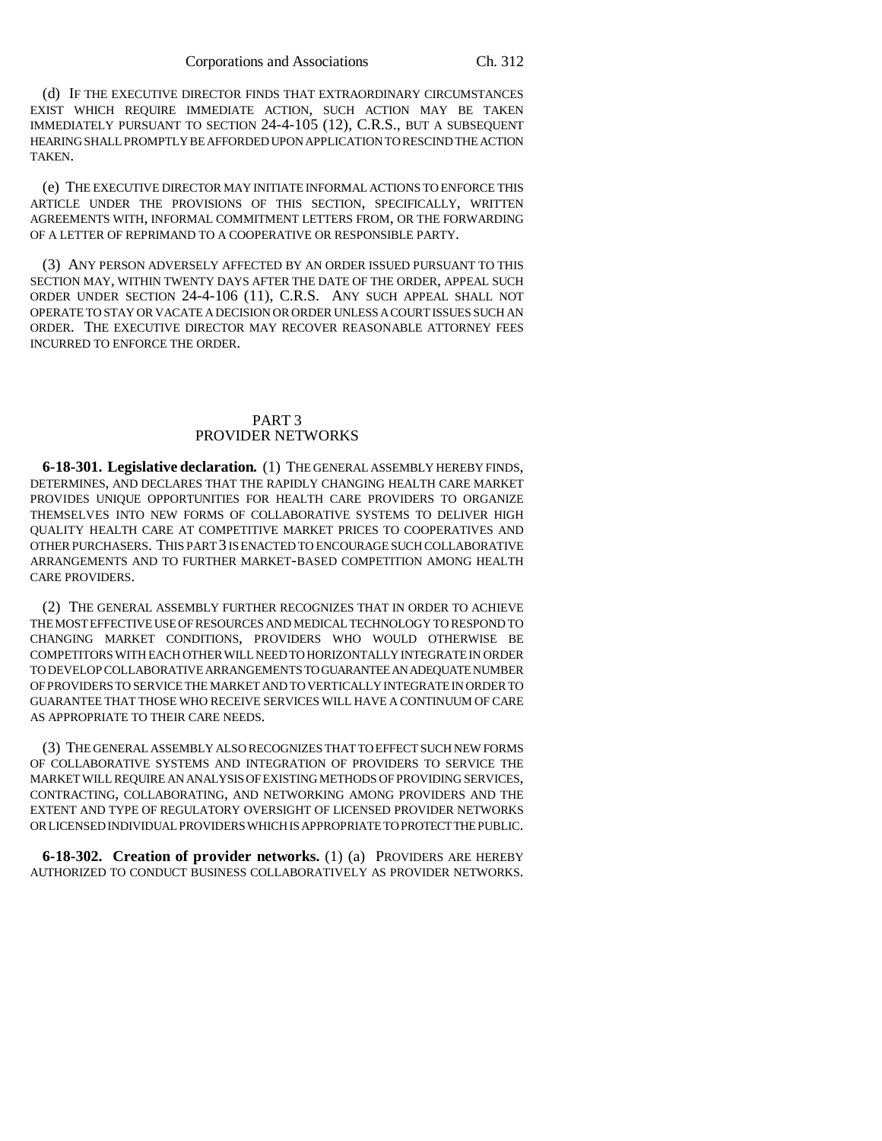(d) IF THE EXECUTIVE DIRECTOR FINDS THAT EXTRAORDINARY CIRCUMSTANCES EXIST WHICH REQUIRE IMMEDIATE ACTION, SUCH ACTION MAY BE TAKEN IMMEDIATELY PURSUANT TO SECTION 24-4-105 (12), C.R.S., BUT A SUBSEQUENT HEARING SHALL PROMPTLY BE AFFORDED UPON APPLICATION TO RESCIND THE ACTION TAKEN.

(e) THE EXECUTIVE DIRECTOR MAY INITIATE INFORMAL ACTIONS TO ENFORCE THIS ARTICLE UNDER THE PROVISIONS OF THIS SECTION, SPECIFICALLY, WRITTEN AGREEMENTS WITH, INFORMAL COMMITMENT LETTERS FROM, OR THE FORWARDING OF A LETTER OF REPRIMAND TO A COOPERATIVE OR RESPONSIBLE PARTY.

(3) ANY PERSON ADVERSELY AFFECTED BY AN ORDER ISSUED PURSUANT TO THIS SECTION MAY, WITHIN TWENTY DAYS AFTER THE DATE OF THE ORDER, APPEAL SUCH ORDER UNDER SECTION 24-4-106 (11), C.R.S. ANY SUCH APPEAL SHALL NOT OPERATE TO STAY OR VACATE A DECISION OR ORDER UNLESS A COURT ISSUES SUCH AN ORDER. THE EXECUTIVE DIRECTOR MAY RECOVER REASONABLE ATTORNEY FEES INCURRED TO ENFORCE THE ORDER.

# PART 3 PROVIDER NETWORKS

**6-18-301. Legislative declaration.** (1) THE GENERAL ASSEMBLY HEREBY FINDS, DETERMINES, AND DECLARES THAT THE RAPIDLY CHANGING HEALTH CARE MARKET PROVIDES UNIQUE OPPORTUNITIES FOR HEALTH CARE PROVIDERS TO ORGANIZE THEMSELVES INTO NEW FORMS OF COLLABORATIVE SYSTEMS TO DELIVER HIGH QUALITY HEALTH CARE AT COMPETITIVE MARKET PRICES TO COOPERATIVES AND OTHER PURCHASERS. THIS PART 3 IS ENACTED TO ENCOURAGE SUCH COLLABORATIVE ARRANGEMENTS AND TO FURTHER MARKET-BASED COMPETITION AMONG HEALTH CARE PROVIDERS.

(2) THE GENERAL ASSEMBLY FURTHER RECOGNIZES THAT IN ORDER TO ACHIEVE THE MOST EFFECTIVE USE OF RESOURCES AND MEDICAL TECHNOLOGY TO RESPOND TO CHANGING MARKET CONDITIONS, PROVIDERS WHO WOULD OTHERWISE BE COMPETITORS WITH EACH OTHER WILL NEED TO HORIZONTALLY INTEGRATE IN ORDER TO DEVELOP COLLABORATIVE ARRANGEMENTS TO GUARANTEE AN ADEQUATE NUMBER OF PROVIDERS TO SERVICE THE MARKET AND TO VERTICALLY INTEGRATE IN ORDER TO GUARANTEE THAT THOSE WHO RECEIVE SERVICES WILL HAVE A CONTINUUM OF CARE AS APPROPRIATE TO THEIR CARE NEEDS.

(3) THE GENERAL ASSEMBLY ALSO RECOGNIZES THAT TO EFFECT SUCH NEW FORMS OF COLLABORATIVE SYSTEMS AND INTEGRATION OF PROVIDERS TO SERVICE THE MARKET WILL REQUIRE AN ANALYSIS OF EXISTING METHODS OF PROVIDING SERVICES, CONTRACTING, COLLABORATING, AND NETWORKING AMONG PROVIDERS AND THE EXTENT AND TYPE OF REGULATORY OVERSIGHT OF LICENSED PROVIDER NETWORKS OR LICENSED INDIVIDUAL PROVIDERS WHICH IS APPROPRIATE TO PROTECT THE PUBLIC.

**6-18-302. Creation of provider networks.** (1) (a) PROVIDERS ARE HEREBY AUTHORIZED TO CONDUCT BUSINESS COLLABORATIVELY AS PROVIDER NETWORKS.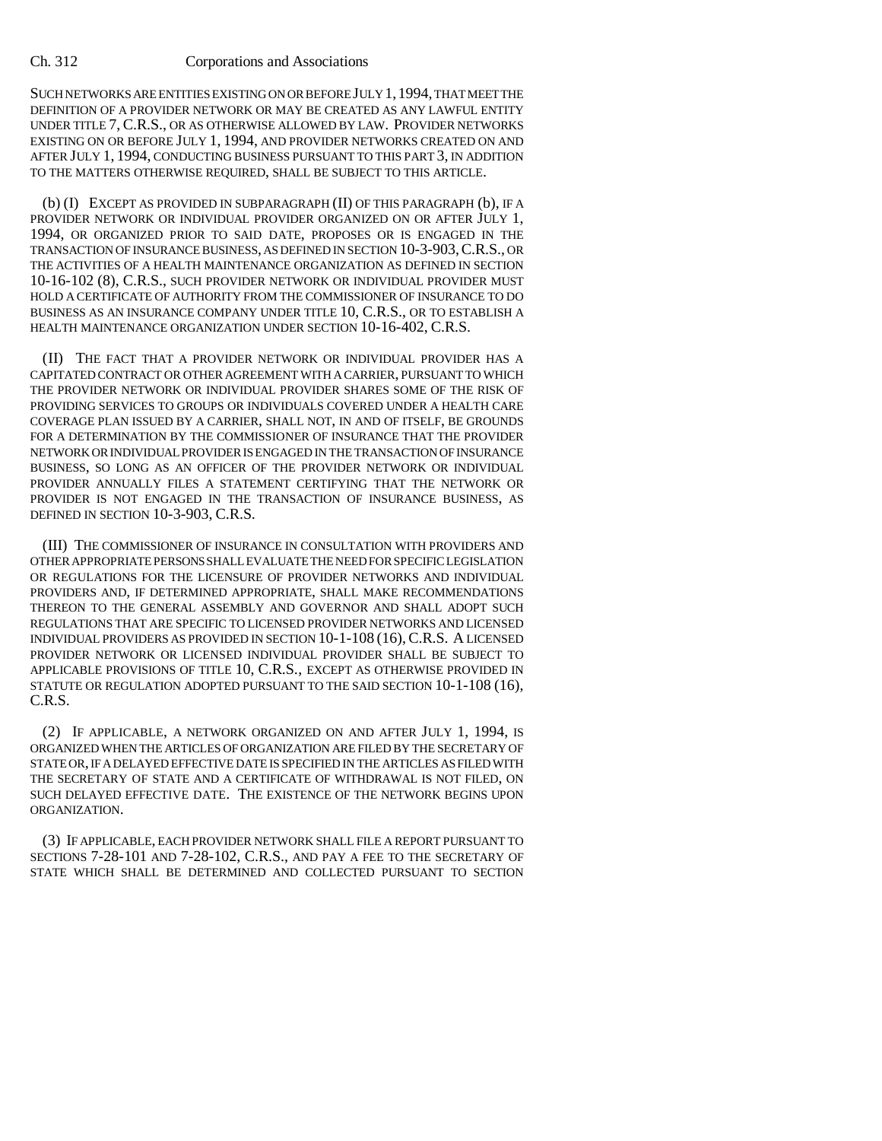SUCH NETWORKS ARE ENTITIES EXISTING ON OR BEFORE JULY 1,1994, THAT MEET THE DEFINITION OF A PROVIDER NETWORK OR MAY BE CREATED AS ANY LAWFUL ENTITY UNDER TITLE 7, C.R.S., OR AS OTHERWISE ALLOWED BY LAW. PROVIDER NETWORKS EXISTING ON OR BEFORE JULY 1, 1994, AND PROVIDER NETWORKS CREATED ON AND AFTER JULY 1, 1994, CONDUCTING BUSINESS PURSUANT TO THIS PART 3, IN ADDITION TO THE MATTERS OTHERWISE REQUIRED, SHALL BE SUBJECT TO THIS ARTICLE.

(b) (I) EXCEPT AS PROVIDED IN SUBPARAGRAPH (II) OF THIS PARAGRAPH (b), IF A PROVIDER NETWORK OR INDIVIDUAL PROVIDER ORGANIZED ON OR AFTER JULY 1, 1994, OR ORGANIZED PRIOR TO SAID DATE, PROPOSES OR IS ENGAGED IN THE TRANSACTION OF INSURANCE BUSINESS, AS DEFINED IN SECTION 10-3-903,C.R.S., OR THE ACTIVITIES OF A HEALTH MAINTENANCE ORGANIZATION AS DEFINED IN SECTION 10-16-102 (8), C.R.S., SUCH PROVIDER NETWORK OR INDIVIDUAL PROVIDER MUST HOLD A CERTIFICATE OF AUTHORITY FROM THE COMMISSIONER OF INSURANCE TO DO BUSINESS AS AN INSURANCE COMPANY UNDER TITLE 10, C.R.S., OR TO ESTABLISH A HEALTH MAINTENANCE ORGANIZATION UNDER SECTION 10-16-402, C.R.S.

(II) THE FACT THAT A PROVIDER NETWORK OR INDIVIDUAL PROVIDER HAS A CAPITATED CONTRACT OR OTHER AGREEMENT WITH A CARRIER, PURSUANT TO WHICH THE PROVIDER NETWORK OR INDIVIDUAL PROVIDER SHARES SOME OF THE RISK OF PROVIDING SERVICES TO GROUPS OR INDIVIDUALS COVERED UNDER A HEALTH CARE COVERAGE PLAN ISSUED BY A CARRIER, SHALL NOT, IN AND OF ITSELF, BE GROUNDS FOR A DETERMINATION BY THE COMMISSIONER OF INSURANCE THAT THE PROVIDER NETWORK OR INDIVIDUAL PROVIDER IS ENGAGED IN THE TRANSACTION OF INSURANCE BUSINESS, SO LONG AS AN OFFICER OF THE PROVIDER NETWORK OR INDIVIDUAL PROVIDER ANNUALLY FILES A STATEMENT CERTIFYING THAT THE NETWORK OR PROVIDER IS NOT ENGAGED IN THE TRANSACTION OF INSURANCE BUSINESS, AS DEFINED IN SECTION 10-3-903, C.R.S.

(III) THE COMMISSIONER OF INSURANCE IN CONSULTATION WITH PROVIDERS AND OTHER APPROPRIATE PERSONS SHALL EVALUATE THE NEED FOR SPECIFIC LEGISLATION OR REGULATIONS FOR THE LICENSURE OF PROVIDER NETWORKS AND INDIVIDUAL PROVIDERS AND, IF DETERMINED APPROPRIATE, SHALL MAKE RECOMMENDATIONS THEREON TO THE GENERAL ASSEMBLY AND GOVERNOR AND SHALL ADOPT SUCH REGULATIONS THAT ARE SPECIFIC TO LICENSED PROVIDER NETWORKS AND LICENSED INDIVIDUAL PROVIDERS AS PROVIDED IN SECTION 10-1-108 (16),C.R.S. A LICENSED PROVIDER NETWORK OR LICENSED INDIVIDUAL PROVIDER SHALL BE SUBJECT TO APPLICABLE PROVISIONS OF TITLE 10, C.R.S., EXCEPT AS OTHERWISE PROVIDED IN STATUTE OR REGULATION ADOPTED PURSUANT TO THE SAID SECTION 10-1-108 (16), C.R.S.

(2) IF APPLICABLE, A NETWORK ORGANIZED ON AND AFTER JULY 1, 1994, IS ORGANIZED WHEN THE ARTICLES OF ORGANIZATION ARE FILED BY THE SECRETARY OF STATE OR, IF A DELAYED EFFECTIVE DATE IS SPECIFIED IN THE ARTICLES AS FILED WITH THE SECRETARY OF STATE AND A CERTIFICATE OF WITHDRAWAL IS NOT FILED, ON SUCH DELAYED EFFECTIVE DATE. THE EXISTENCE OF THE NETWORK BEGINS UPON ORGANIZATION.

(3) IF APPLICABLE, EACH PROVIDER NETWORK SHALL FILE A REPORT PURSUANT TO SECTIONS 7-28-101 AND 7-28-102, C.R.S., AND PAY A FEE TO THE SECRETARY OF STATE WHICH SHALL BE DETERMINED AND COLLECTED PURSUANT TO SECTION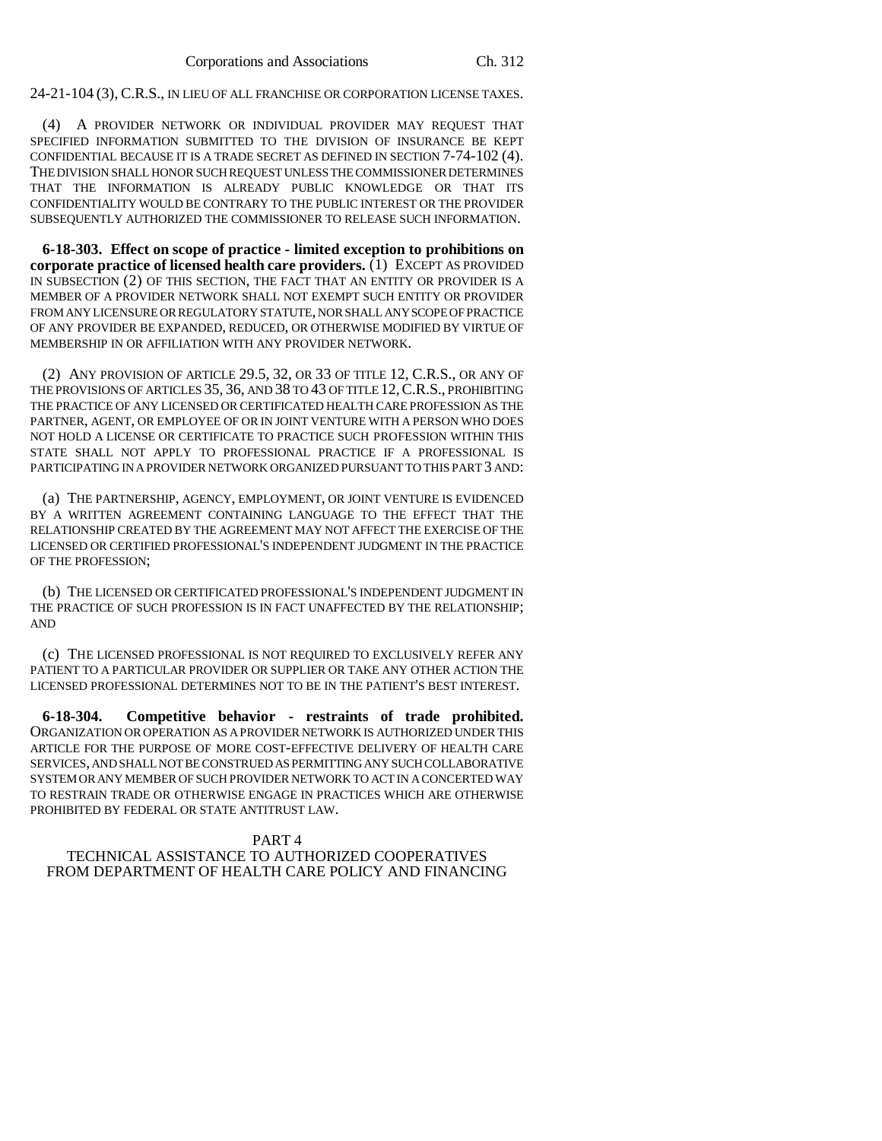24-21-104 (3), C.R.S., IN LIEU OF ALL FRANCHISE OR CORPORATION LICENSE TAXES.

(4) A PROVIDER NETWORK OR INDIVIDUAL PROVIDER MAY REQUEST THAT SPECIFIED INFORMATION SUBMITTED TO THE DIVISION OF INSURANCE BE KEPT CONFIDENTIAL BECAUSE IT IS A TRADE SECRET AS DEFINED IN SECTION 7-74-102 (4). THE DIVISION SHALL HONOR SUCH REQUEST UNLESS THE COMMISSIONER DETERMINES THAT THE INFORMATION IS ALREADY PUBLIC KNOWLEDGE OR THAT ITS CONFIDENTIALITY WOULD BE CONTRARY TO THE PUBLIC INTEREST OR THE PROVIDER SUBSEQUENTLY AUTHORIZED THE COMMISSIONER TO RELEASE SUCH INFORMATION.

**6-18-303. Effect on scope of practice - limited exception to prohibitions on corporate practice of licensed health care providers.** (1) EXCEPT AS PROVIDED IN SUBSECTION (2) OF THIS SECTION, THE FACT THAT AN ENTITY OR PROVIDER IS A MEMBER OF A PROVIDER NETWORK SHALL NOT EXEMPT SUCH ENTITY OR PROVIDER FROM ANY LICENSURE OR REGULATORY STATUTE, NOR SHALL ANY SCOPE OF PRACTICE OF ANY PROVIDER BE EXPANDED, REDUCED, OR OTHERWISE MODIFIED BY VIRTUE OF MEMBERSHIP IN OR AFFILIATION WITH ANY PROVIDER NETWORK.

(2) ANY PROVISION OF ARTICLE 29.5, 32, OR 33 OF TITLE 12, C.R.S., OR ANY OF THE PROVISIONS OF ARTICLES 35, 36, AND 38 TO 43 OF TITLE 12,C.R.S., PROHIBITING THE PRACTICE OF ANY LICENSED OR CERTIFICATED HEALTH CARE PROFESSION AS THE PARTNER, AGENT, OR EMPLOYEE OF OR IN JOINT VENTURE WITH A PERSON WHO DOES NOT HOLD A LICENSE OR CERTIFICATE TO PRACTICE SUCH PROFESSION WITHIN THIS STATE SHALL NOT APPLY TO PROFESSIONAL PRACTICE IF A PROFESSIONAL IS PARTICIPATING IN A PROVIDER NETWORK ORGANIZED PURSUANT TO THIS PART 3 AND:

(a) THE PARTNERSHIP, AGENCY, EMPLOYMENT, OR JOINT VENTURE IS EVIDENCED BY A WRITTEN AGREEMENT CONTAINING LANGUAGE TO THE EFFECT THAT THE RELATIONSHIP CREATED BY THE AGREEMENT MAY NOT AFFECT THE EXERCISE OF THE LICENSED OR CERTIFIED PROFESSIONAL'S INDEPENDENT JUDGMENT IN THE PRACTICE OF THE PROFESSION;

(b) THE LICENSED OR CERTIFICATED PROFESSIONAL'S INDEPENDENT JUDGMENT IN THE PRACTICE OF SUCH PROFESSION IS IN FACT UNAFFECTED BY THE RELATIONSHIP; AND

(c) THE LICENSED PROFESSIONAL IS NOT REQUIRED TO EXCLUSIVELY REFER ANY PATIENT TO A PARTICULAR PROVIDER OR SUPPLIER OR TAKE ANY OTHER ACTION THE LICENSED PROFESSIONAL DETERMINES NOT TO BE IN THE PATIENT'S BEST INTEREST.

**6-18-304. Competitive behavior - restraints of trade prohibited.** ORGANIZATION OR OPERATION AS A PROVIDER NETWORK IS AUTHORIZED UNDER THIS ARTICLE FOR THE PURPOSE OF MORE COST-EFFECTIVE DELIVERY OF HEALTH CARE SERVICES, AND SHALL NOT BE CONSTRUED AS PERMITTING ANY SUCH COLLABORATIVE SYSTEM OR ANY MEMBER OF SUCH PROVIDER NETWORK TO ACT IN A CONCERTED WAY TO RESTRAIN TRADE OR OTHERWISE ENGAGE IN PRACTICES WHICH ARE OTHERWISE PROHIBITED BY FEDERAL OR STATE ANTITRUST LAW.

# PART 4

TECHNICAL ASSISTANCE TO AUTHORIZED COOPERATIVES FROM DEPARTMENT OF HEALTH CARE POLICY AND FINANCING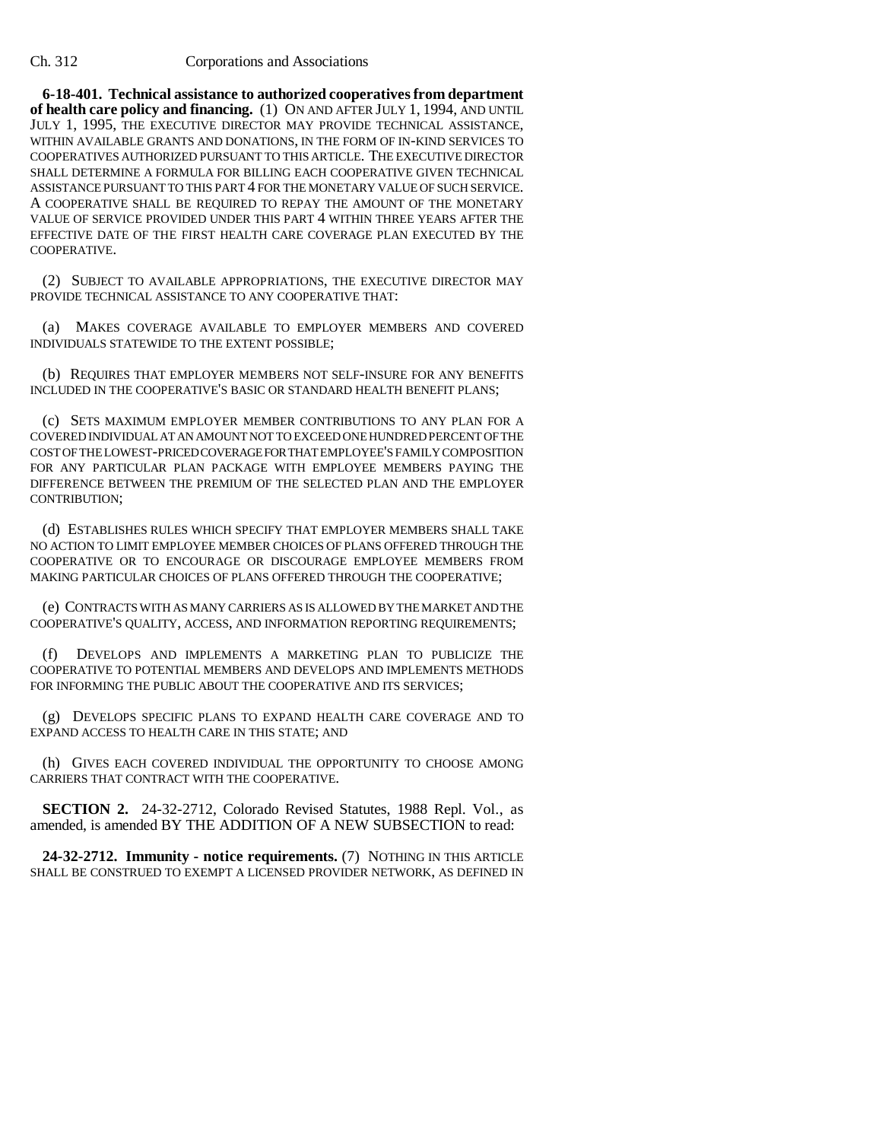**6-18-401. Technical assistance to authorized cooperatives from department of health care policy and financing.** (1) ON AND AFTER JULY 1, 1994, AND UNTIL JULY 1, 1995, THE EXECUTIVE DIRECTOR MAY PROVIDE TECHNICAL ASSISTANCE, WITHIN AVAILABLE GRANTS AND DONATIONS, IN THE FORM OF IN-KIND SERVICES TO COOPERATIVES AUTHORIZED PURSUANT TO THIS ARTICLE. THE EXECUTIVE DIRECTOR SHALL DETERMINE A FORMULA FOR BILLING EACH COOPERATIVE GIVEN TECHNICAL ASSISTANCE PURSUANT TO THIS PART 4 FOR THE MONETARY VALUE OF SUCH SERVICE. A COOPERATIVE SHALL BE REQUIRED TO REPAY THE AMOUNT OF THE MONETARY VALUE OF SERVICE PROVIDED UNDER THIS PART 4 WITHIN THREE YEARS AFTER THE EFFECTIVE DATE OF THE FIRST HEALTH CARE COVERAGE PLAN EXECUTED BY THE COOPERATIVE.

(2) SUBJECT TO AVAILABLE APPROPRIATIONS, THE EXECUTIVE DIRECTOR MAY PROVIDE TECHNICAL ASSISTANCE TO ANY COOPERATIVE THAT:

(a) MAKES COVERAGE AVAILABLE TO EMPLOYER MEMBERS AND COVERED INDIVIDUALS STATEWIDE TO THE EXTENT POSSIBLE;

(b) REQUIRES THAT EMPLOYER MEMBERS NOT SELF-INSURE FOR ANY BENEFITS INCLUDED IN THE COOPERATIVE'S BASIC OR STANDARD HEALTH BENEFIT PLANS;

(c) SETS MAXIMUM EMPLOYER MEMBER CONTRIBUTIONS TO ANY PLAN FOR A COVERED INDIVIDUAL AT AN AMOUNT NOT TO EXCEED ONE HUNDRED PERCENT OF THE COST OF THE LOWEST-PRICED COVERAGE FOR THAT EMPLOYEE'S FAMILY COMPOSITION FOR ANY PARTICULAR PLAN PACKAGE WITH EMPLOYEE MEMBERS PAYING THE DIFFERENCE BETWEEN THE PREMIUM OF THE SELECTED PLAN AND THE EMPLOYER CONTRIBUTION;

(d) ESTABLISHES RULES WHICH SPECIFY THAT EMPLOYER MEMBERS SHALL TAKE NO ACTION TO LIMIT EMPLOYEE MEMBER CHOICES OF PLANS OFFERED THROUGH THE COOPERATIVE OR TO ENCOURAGE OR DISCOURAGE EMPLOYEE MEMBERS FROM MAKING PARTICULAR CHOICES OF PLANS OFFERED THROUGH THE COOPERATIVE;

(e) CONTRACTS WITH AS MANY CARRIERS AS IS ALLOWED BY THE MARKET AND THE COOPERATIVE'S QUALITY, ACCESS, AND INFORMATION REPORTING REQUIREMENTS;

(f) DEVELOPS AND IMPLEMENTS A MARKETING PLAN TO PUBLICIZE THE COOPERATIVE TO POTENTIAL MEMBERS AND DEVELOPS AND IMPLEMENTS METHODS FOR INFORMING THE PUBLIC ABOUT THE COOPERATIVE AND ITS SERVICES;

(g) DEVELOPS SPECIFIC PLANS TO EXPAND HEALTH CARE COVERAGE AND TO EXPAND ACCESS TO HEALTH CARE IN THIS STATE; AND

(h) GIVES EACH COVERED INDIVIDUAL THE OPPORTUNITY TO CHOOSE AMONG CARRIERS THAT CONTRACT WITH THE COOPERATIVE.

**SECTION 2.** 24-32-2712, Colorado Revised Statutes, 1988 Repl. Vol., as amended, is amended BY THE ADDITION OF A NEW SUBSECTION to read:

**24-32-2712. Immunity - notice requirements.** (7) NOTHING IN THIS ARTICLE SHALL BE CONSTRUED TO EXEMPT A LICENSED PROVIDER NETWORK, AS DEFINED IN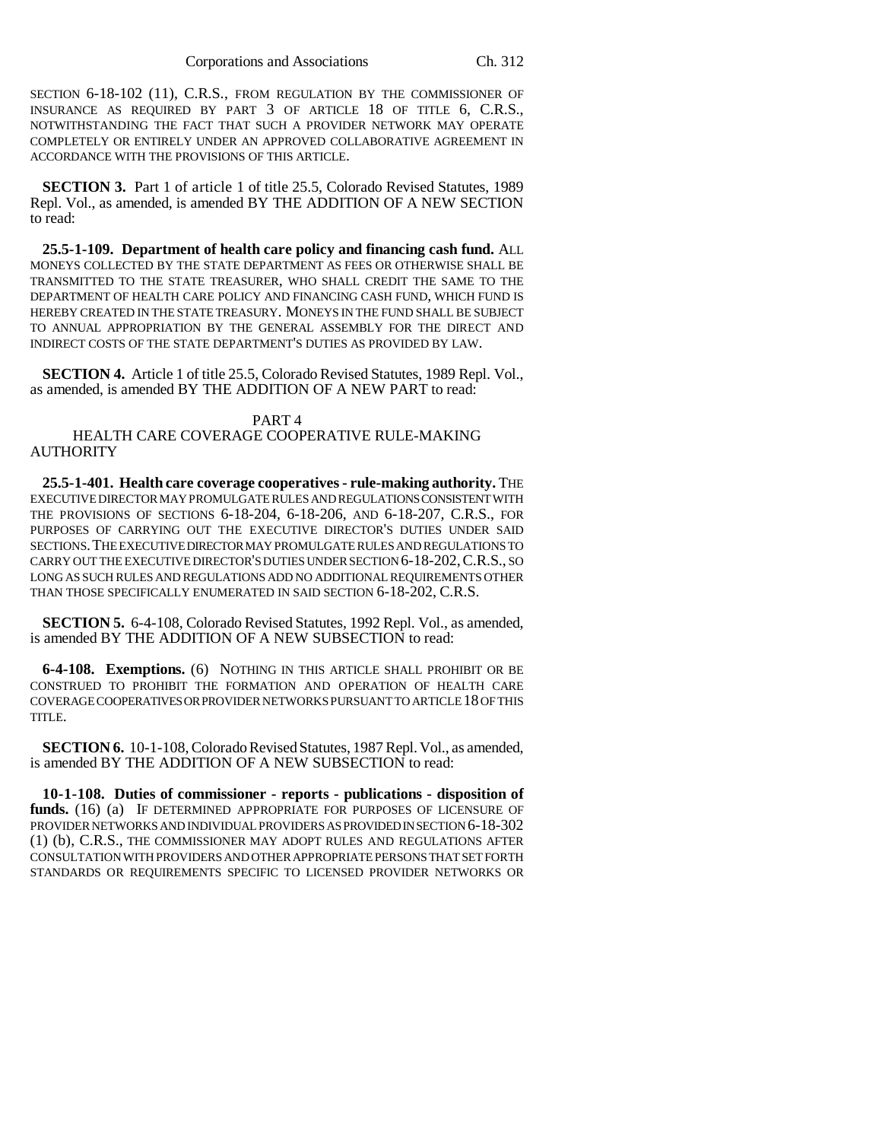SECTION 6-18-102 (11), C.R.S., FROM REGULATION BY THE COMMISSIONER OF INSURANCE AS REQUIRED BY PART 3 OF ARTICLE 18 OF TITLE 6, C.R.S., NOTWITHSTANDING THE FACT THAT SUCH A PROVIDER NETWORK MAY OPERATE COMPLETELY OR ENTIRELY UNDER AN APPROVED COLLABORATIVE AGREEMENT IN ACCORDANCE WITH THE PROVISIONS OF THIS ARTICLE.

**SECTION 3.** Part 1 of article 1 of title 25.5, Colorado Revised Statutes, 1989 Repl. Vol., as amended, is amended BY THE ADDITION OF A NEW SECTION to read:

**25.5-1-109. Department of health care policy and financing cash fund.** ALL MONEYS COLLECTED BY THE STATE DEPARTMENT AS FEES OR OTHERWISE SHALL BE TRANSMITTED TO THE STATE TREASURER, WHO SHALL CREDIT THE SAME TO THE DEPARTMENT OF HEALTH CARE POLICY AND FINANCING CASH FUND, WHICH FUND IS HEREBY CREATED IN THE STATE TREASURY. MONEYS IN THE FUND SHALL BE SUBJECT TO ANNUAL APPROPRIATION BY THE GENERAL ASSEMBLY FOR THE DIRECT AND INDIRECT COSTS OF THE STATE DEPARTMENT'S DUTIES AS PROVIDED BY LAW.

**SECTION 4.** Article 1 of title 25.5, Colorado Revised Statutes, 1989 Repl. Vol., as amended, is amended BY THE ADDITION OF A NEW PART to read:

# PART 4

HEALTH CARE COVERAGE COOPERATIVE RULE-MAKING AUTHORITY

**25.5-1-401. Health care coverage cooperatives - rule-making authority.** THE EXECUTIVE DIRECTOR MAY PROMULGATE RULES AND REGULATIONS CONSISTENT WITH THE PROVISIONS OF SECTIONS 6-18-204, 6-18-206, AND 6-18-207, C.R.S., FOR PURPOSES OF CARRYING OUT THE EXECUTIVE DIRECTOR'S DUTIES UNDER SAID SECTIONS.THE EXECUTIVE DIRECTOR MAY PROMULGATE RULES AND REGULATIONS TO CARRY OUT THE EXECUTIVE DIRECTOR'S DUTIES UNDER SECTION 6-18-202,C.R.S., SO LONG AS SUCH RULES AND REGULATIONS ADD NO ADDITIONAL REQUIREMENTS OTHER THAN THOSE SPECIFICALLY ENUMERATED IN SAID SECTION 6-18-202, C.R.S.

**SECTION 5.** 6-4-108, Colorado Revised Statutes, 1992 Repl. Vol., as amended, is amended BY THE ADDITION OF A NEW SUBSECTION to read:

**6-4-108. Exemptions.** (6) NOTHING IN THIS ARTICLE SHALL PROHIBIT OR BE CONSTRUED TO PROHIBIT THE FORMATION AND OPERATION OF HEALTH CARE COVERAGE COOPERATIVES OR PROVIDER NETWORKS PURSUANT TO ARTICLE 18 OF THIS TITLE.

**SECTION 6.** 10-1-108, Colorado Revised Statutes, 1987 Repl. Vol., as amended, is amended BY THE ADDITION OF A NEW SUBSECTION to read:

**10-1-108. Duties of commissioner - reports - publications - disposition of funds.** (16) (a) IF DETERMINED APPROPRIATE FOR PURPOSES OF LICENSURE OF PROVIDER NETWORKS AND INDIVIDUAL PROVIDERS AS PROVIDED IN SECTION 6-18-302 (1) (b), C.R.S., THE COMMISSIONER MAY ADOPT RULES AND REGULATIONS AFTER CONSULTATION WITH PROVIDERS AND OTHER APPROPRIATE PERSONS THAT SET FORTH STANDARDS OR REQUIREMENTS SPECIFIC TO LICENSED PROVIDER NETWORKS OR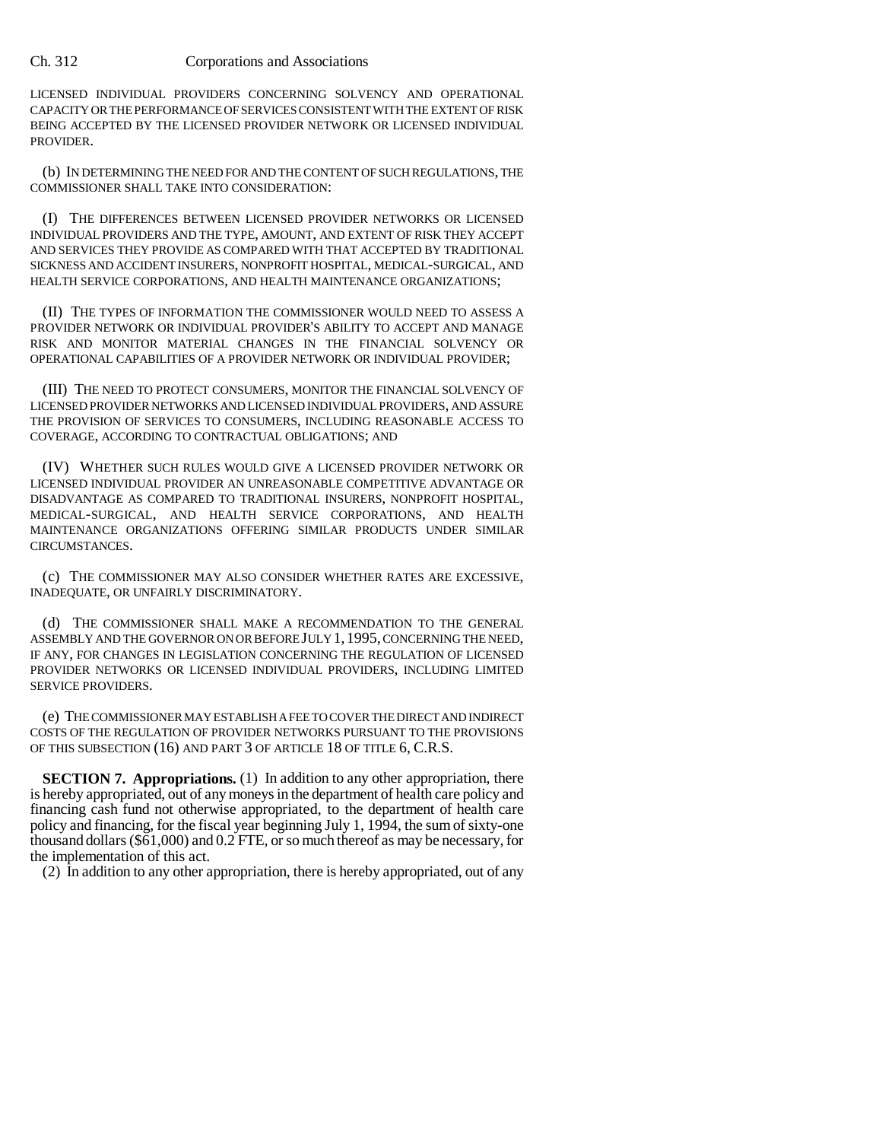LICENSED INDIVIDUAL PROVIDERS CONCERNING SOLVENCY AND OPERATIONAL CAPACITY OR THE PERFORMANCE OF SERVICES CONSISTENT WITH THE EXTENT OF RISK BEING ACCEPTED BY THE LICENSED PROVIDER NETWORK OR LICENSED INDIVIDUAL PROVIDER.

(b) IN DETERMINING THE NEED FOR AND THE CONTENT OF SUCH REGULATIONS, THE COMMISSIONER SHALL TAKE INTO CONSIDERATION:

(I) THE DIFFERENCES BETWEEN LICENSED PROVIDER NETWORKS OR LICENSED INDIVIDUAL PROVIDERS AND THE TYPE, AMOUNT, AND EXTENT OF RISK THEY ACCEPT AND SERVICES THEY PROVIDE AS COMPARED WITH THAT ACCEPTED BY TRADITIONAL SICKNESS AND ACCIDENT INSURERS, NONPROFIT HOSPITAL, MEDICAL-SURGICAL, AND HEALTH SERVICE CORPORATIONS, AND HEALTH MAINTENANCE ORGANIZATIONS;

(II) THE TYPES OF INFORMATION THE COMMISSIONER WOULD NEED TO ASSESS A PROVIDER NETWORK OR INDIVIDUAL PROVIDER'S ABILITY TO ACCEPT AND MANAGE RISK AND MONITOR MATERIAL CHANGES IN THE FINANCIAL SOLVENCY OR OPERATIONAL CAPABILITIES OF A PROVIDER NETWORK OR INDIVIDUAL PROVIDER;

(III) THE NEED TO PROTECT CONSUMERS, MONITOR THE FINANCIAL SOLVENCY OF LICENSED PROVIDER NETWORKS AND LICENSED INDIVIDUAL PROVIDERS, AND ASSURE THE PROVISION OF SERVICES TO CONSUMERS, INCLUDING REASONABLE ACCESS TO COVERAGE, ACCORDING TO CONTRACTUAL OBLIGATIONS; AND

(IV) WHETHER SUCH RULES WOULD GIVE A LICENSED PROVIDER NETWORK OR LICENSED INDIVIDUAL PROVIDER AN UNREASONABLE COMPETITIVE ADVANTAGE OR DISADVANTAGE AS COMPARED TO TRADITIONAL INSURERS, NONPROFIT HOSPITAL, MEDICAL-SURGICAL, AND HEALTH SERVICE CORPORATIONS, AND HEALTH MAINTENANCE ORGANIZATIONS OFFERING SIMILAR PRODUCTS UNDER SIMILAR CIRCUMSTANCES.

(c) THE COMMISSIONER MAY ALSO CONSIDER WHETHER RATES ARE EXCESSIVE, INADEQUATE, OR UNFAIRLY DISCRIMINATORY.

(d) THE COMMISSIONER SHALL MAKE A RECOMMENDATION TO THE GENERAL ASSEMBLY AND THE GOVERNOR ON OR BEFORE JULY 1,1995, CONCERNING THE NEED, IF ANY, FOR CHANGES IN LEGISLATION CONCERNING THE REGULATION OF LICENSED PROVIDER NETWORKS OR LICENSED INDIVIDUAL PROVIDERS, INCLUDING LIMITED SERVICE PROVIDERS.

(e) THE COMMISSIONER MAY ESTABLISH A FEE TO COVER THE DIRECT AND INDIRECT COSTS OF THE REGULATION OF PROVIDER NETWORKS PURSUANT TO THE PROVISIONS OF THIS SUBSECTION (16) AND PART 3 OF ARTICLE 18 OF TITLE 6, C.R.S.

**SECTION 7. Appropriations.** (1) In addition to any other appropriation, there is hereby appropriated, out of any moneys in the department of health care policy and financing cash fund not otherwise appropriated, to the department of health care policy and financing, for the fiscal year beginning July 1, 1994, the sum of sixty-one thousand dollars (\$61,000) and 0.2 FTE, or so much thereof as may be necessary, for the implementation of this act.

(2) In addition to any other appropriation, there is hereby appropriated, out of any